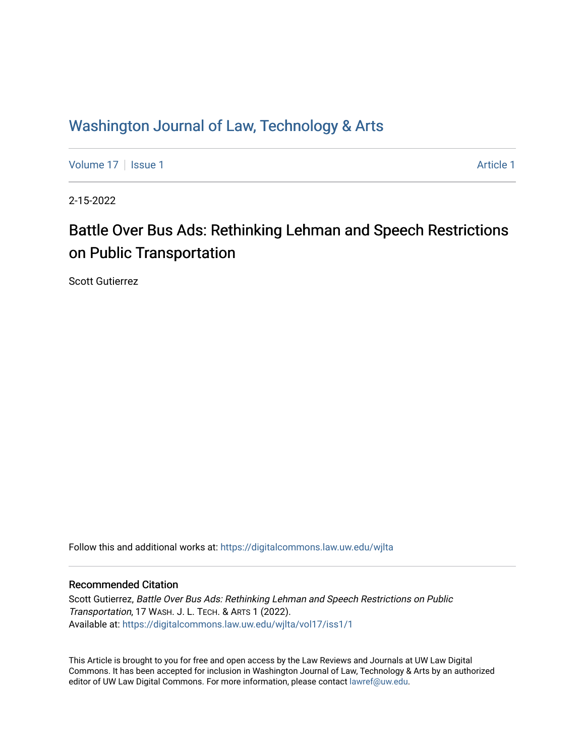# Washington Journal of Law, Technology & Arts

[Volume 17](https://digitalcommons.law.uw.edu/wjlta/vol17) | [Issue 1](https://digitalcommons.law.uw.edu/wjlta/vol17/iss1) Article 1

2-15-2022

# Battle Over Bus Ads: Rethinking Lehman and Speech Restrictions on Public Transportation

Scott Gutierrez

Follow this and additional works at: [https://digitalcommons.law.uw.edu/wjlta](https://digitalcommons.law.uw.edu/wjlta?utm_source=digitalcommons.law.uw.edu%2Fwjlta%2Fvol17%2Fiss1%2F1&utm_medium=PDF&utm_campaign=PDFCoverPages) 

#### Recommended Citation

Scott Gutierrez, Battle Over Bus Ads: Rethinking Lehman and Speech Restrictions on Public Transportation, 17 WASH. J. L. TECH. & ARTS 1 (2022). Available at: [https://digitalcommons.law.uw.edu/wjlta/vol17/iss1/1](https://digitalcommons.law.uw.edu/wjlta/vol17/iss1/1?utm_source=digitalcommons.law.uw.edu%2Fwjlta%2Fvol17%2Fiss1%2F1&utm_medium=PDF&utm_campaign=PDFCoverPages) 

This Article is brought to you for free and open access by the Law Reviews and Journals at UW Law Digital Commons. It has been accepted for inclusion in Washington Journal of Law, Technology & Arts by an authorized editor of UW Law Digital Commons. For more information, please contact [lawref@uw.edu](mailto:lawref@uw.edu).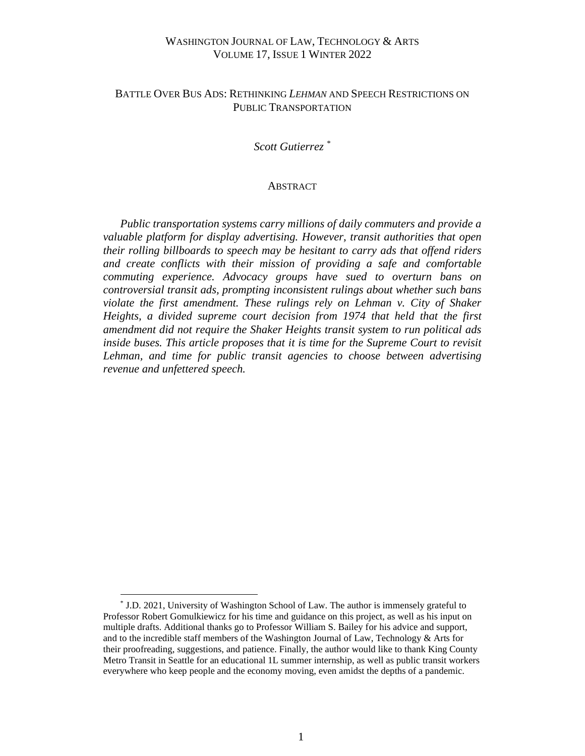# WASHINGTON JOURNAL OF LAW, TECHNOLOGY & ARTS VOLUME 17, ISSUE 1 WINTER 2022

# BATTLE OVER BUS ADS: RETHINKING *LEHMAN* AND SPEECH RESTRICTIONS ON PUBLIC TRANSPORTATION

#### *Scott Gutierrez \**

#### **ABSTRACT**

 *Public transportation systems carry millions of daily commuters and provide a valuable platform for display advertising. However, transit authorities that open their rolling billboards to speech may be hesitant to carry ads that offend riders and create conflicts with their mission of providing a safe and comfortable commuting experience. Advocacy groups have sued to overturn bans on controversial transit ads, prompting inconsistent rulings about whether such bans violate the first amendment. These rulings rely on Lehman v. City of Shaker Heights, a divided supreme court decision from 1974 that held that the first amendment did not require the Shaker Heights transit system to run political ads inside buses. This article proposes that it is time for the Supreme Court to revisit Lehman, and time for public transit agencies to choose between advertising revenue and unfettered speech.*

<sup>\*</sup> J.D. 2021, University of Washington School of Law. The author is immensely grateful to Professor Robert Gomulkiewicz for his time and guidance on this project, as well as his input on multiple drafts. Additional thanks go to Professor William S. Bailey for his advice and support, and to the incredible staff members of the Washington Journal of Law, Technology & Arts for their proofreading, suggestions, and patience. Finally, the author would like to thank King County Metro Transit in Seattle for an educational 1L summer internship, as well as public transit workers everywhere who keep people and the economy moving, even amidst the depths of a pandemic.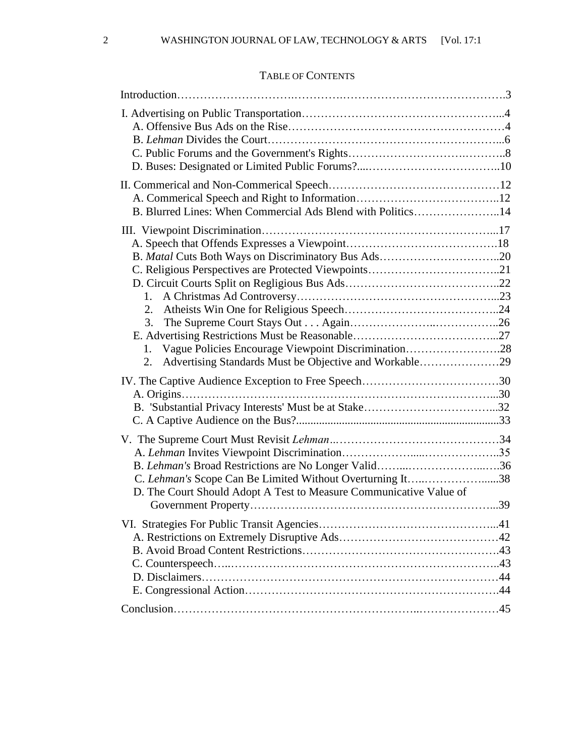# TABLE OF CONTENTS

| B. Blurred Lines: When Commercial Ads Blend with Politics14        |  |
|--------------------------------------------------------------------|--|
|                                                                    |  |
|                                                                    |  |
|                                                                    |  |
|                                                                    |  |
|                                                                    |  |
| 1.                                                                 |  |
|                                                                    |  |
| 3.                                                                 |  |
|                                                                    |  |
| Vague Policies Encourage Viewpoint Discrimination28<br>1.          |  |
| Advertising Standards Must be Objective and Workable29<br>2.       |  |
|                                                                    |  |
|                                                                    |  |
|                                                                    |  |
|                                                                    |  |
|                                                                    |  |
|                                                                    |  |
| B. Lehman's Broad Restrictions are No Longer Valid36               |  |
| C. Lehman's Scope Can Be Limited Without Overturning It38          |  |
| D. The Court Should Adopt A Test to Measure Communicative Value of |  |
|                                                                    |  |
|                                                                    |  |
|                                                                    |  |
|                                                                    |  |
|                                                                    |  |
|                                                                    |  |
|                                                                    |  |
|                                                                    |  |
|                                                                    |  |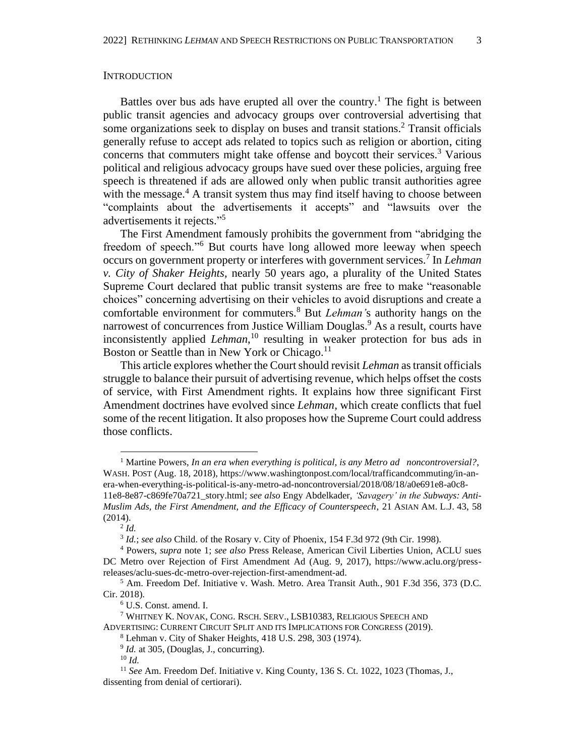#### **INTRODUCTION**

Battles over bus ads have erupted all over the country.<sup>1</sup> The fight is between public transit agencies and advocacy groups over controversial advertising that some organizations seek to display on buses and transit stations. <sup>2</sup> Transit officials generally refuse to accept ads related to topics such as religion or abortion, citing concerns that commuters might take offense and boycott their services. <sup>3</sup> Various political and religious advocacy groups have sued over these policies, arguing free speech is threatened if ads are allowed only when public transit authorities agree with the message.<sup>4</sup> A transit system thus may find itself having to choose between "complaints about the advertisements it accepts" and "lawsuits over the advertisements it rejects." 5

The First Amendment famously prohibits the government from "abridging the freedom of speech."<sup>6</sup> But courts have long allowed more leeway when speech occurs on government property or interferes with government services. 7 In *Lehman v. City of Shaker Heights*, nearly 50 years ago, a plurality of the United States Supreme Court declared that public transit systems are free to make "reasonable choices" concerning advertising on their vehicles to avoid disruptions and create a comfortable environment for commuters. <sup>8</sup> But *Lehman'*s authority hangs on the narrowest of concurrences from Justice William Douglas.<sup>9</sup> As a result, courts have inconsistently applied *Lehman*, <sup>10</sup> resulting in weaker protection for bus ads in Boston or Seattle than in New York or Chicago.<sup>11</sup>

This article explores whether the Court should revisit *Lehman* as transit officials struggle to balance their pursuit of advertising revenue, which helps offset the costs of service, with First Amendment rights. It explains how three significant First Amendment doctrines have evolved since *Lehman,* which create conflicts that fuel some of the recent litigation. It also proposes how the Supreme Court could address those conflicts.

<sup>1</sup> Martine Powers, *In an era when everything is political, is any Metro ad noncontroversial?*, WASH. POST (Aug. 18, 2018), https://www.washingtonpost.com/local/trafficandcommuting/in-anera-when-everything-is-political-is-any-metro-ad-noncontroversial/2018/08/18/a0e691e8-a0c8- 11e8-8e87-c869fe70a721\_story.html; *see also* Engy Abdelkader, *'Savagery' in the Subways: Anti-*

*Muslim Ads, the First Amendment, and the Efficacy of Counterspeech*, 21 ASIAN AM. L.J. 43, 58 (2014).

<sup>2</sup> *Id.*

<sup>3</sup> *Id.*; *see also* Child. of the Rosary v. City of Phoenix, 154 F.3d 972 (9th Cir. 1998).

<sup>4</sup> Powers, *supra* note 1; *see also* Press Release, American Civil Liberties Union, ACLU sues DC Metro over Rejection of First Amendment Ad (Aug. 9, 2017), https://www.aclu.org/pressreleases/aclu-sues-dc-metro-over-rejection-first-amendment-ad.

<sup>5</sup> Am. Freedom Def. Initiative v. Wash. Metro. Area Transit Auth*.,* 901 F.3d 356*,* 373 (D.C. Cir. 2018).

<sup>6</sup> U.S. Const. amend. I.

<sup>7</sup> WHITNEY K. NOVAK, CONG. RSCH. SERV., LSB10383, RELIGIOUS SPEECH AND ADVERTISING: CURRENT CIRCUIT SPLIT AND ITS IMPLICATIONS FOR CONGRESS (2019). <sup>8</sup> Lehman v. City of Shaker Heights, 418 U.S. 298, 303 (1974).

 $9$  *Id.* at 305, (Douglas, J., concurring).

<sup>10</sup> *Id.*

<sup>&</sup>lt;sup>11</sup> See Am. Freedom Def. Initiative v. King County, 136 S. Ct. 1022, 1023 (Thomas, J., dissenting from denial of certiorari).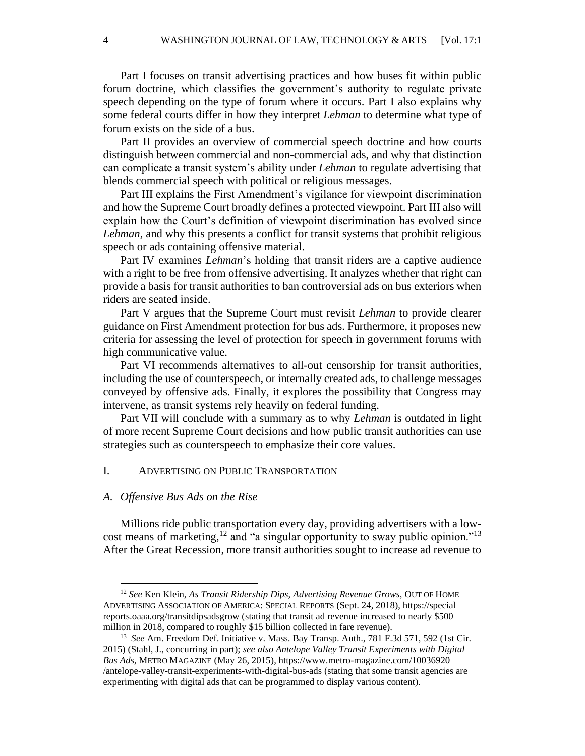Part I focuses on transit advertising practices and how buses fit within public forum doctrine, which classifies the government's authority to regulate private speech depending on the type of forum where it occurs. Part I also explains why some federal courts differ in how they interpret *Lehman* to determine what type of forum exists on the side of a bus.

Part II provides an overview of commercial speech doctrine and how courts distinguish between commercial and non-commercial ads, and why that distinction can complicate a transit system's ability under *Lehman* to regulate advertising that blends commercial speech with political or religious messages.

Part III explains the First Amendment's vigilance for viewpoint discrimination and how the Supreme Court broadly defines a protected viewpoint. Part III also will explain how the Court's definition of viewpoint discrimination has evolved since *Lehman,* and why this presents a conflict for transit systems that prohibit religious speech or ads containing offensive material.

Part IV examines *Lehman*'s holding that transit riders are a captive audience with a right to be free from offensive advertising. It analyzes whether that right can provide a basis for transit authorities to ban controversial ads on bus exteriors when riders are seated inside.

Part V argues that the Supreme Court must revisit *Lehman* to provide clearer guidance on First Amendment protection for bus ads. Furthermore, it proposes new criteria for assessing the level of protection for speech in government forums with high communicative value.

Part VI recommends alternatives to all-out censorship for transit authorities, including the use of counterspeech, or internally created ads, to challenge messages conveyed by offensive ads. Finally, it explores the possibility that Congress may intervene, as transit systems rely heavily on federal funding.

Part VII will conclude with a summary as to why *Lehman* is outdated in light of more recent Supreme Court decisions and how public transit authorities can use strategies such as counterspeech to emphasize their core values.

#### I. ADVERTISING ON PUBLIC TRANSPORTATION

#### *A. Offensive Bus Ads on the Rise*

Millions ride public transportation every day, providing advertisers with a lowcost means of marketing,  $12$  and "a singular opportunity to sway public opinion." $13$ After the Great Recession, more transit authorities sought to increase ad revenue to

<sup>12</sup> *See* Ken Klein, *As Transit Ridership Dips, Advertising Revenue Grows*, OUT OF HOME ADVERTISING ASSOCIATION OF AMERICA: SPECIAL REPORTS (Sept. 24, 2018), https://special reports.oaaa.org/transitdipsadsgrow (stating that transit ad revenue increased to nearly \$500 million in 2018, compared to roughly \$15 billion collected in fare revenue).

<sup>&</sup>lt;sup>13</sup> See Am. Freedom Def. Initiative v. Mass. Bay Transp. Auth., 781 F.3d 571, 592 (1st Cir. 2015) (Stahl, J., concurring in part); *see also Antelope Valley Transit Experiments with Digital Bus Ads*, METRO MAGAZINE (May 26, 2015), https://www.metro-magazine.com/10036920 /antelope-valley-transit-experiments-with-digital-bus-ads (stating that some transit agencies are experimenting with digital ads that can be programmed to display various content).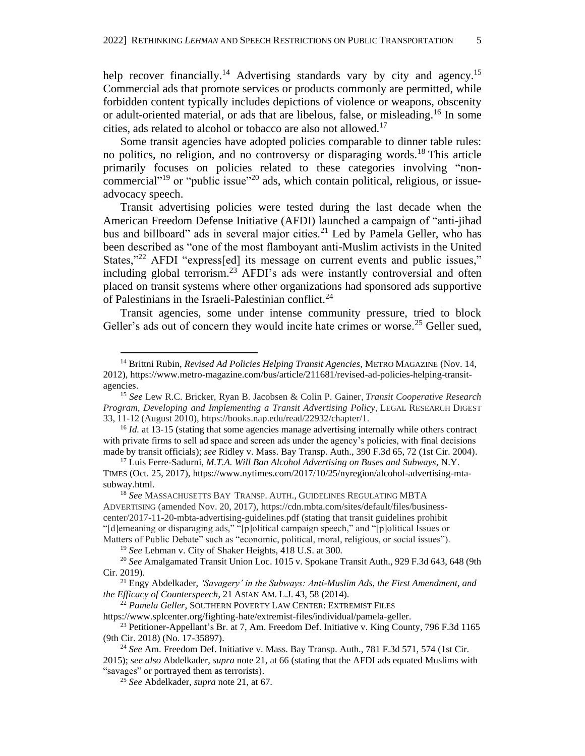help recover financially.<sup>14</sup> Advertising standards vary by city and agency.<sup>15</sup> Commercial ads that promote services or products commonly are permitted, while forbidden content typically includes depictions of violence or weapons, obscenity or adult-oriented material, or ads that are libelous, false, or misleading. <sup>16</sup> In some cities, ads related to alcohol or tobacco are also not allowed.<sup>17</sup>

Some transit agencies have adopted policies comparable to dinner table rules: no politics, no religion, and no controversy or disparaging words.<sup>18</sup> This article primarily focuses on policies related to these categories involving "noncommercial"<sup>19</sup> or "public issue"<sup>20</sup> ads, which contain political, religious, or issueadvocacy speech.

<span id="page-5-0"></span>Transit advertising policies were tested during the last decade when the American Freedom Defense Initiative (AFDI) launched a campaign of "anti-jihad bus and billboard" ads in several major cities.<sup>21</sup> Led by Pamela Geller, who has been described as "one of the most flamboyant anti-Muslim activists in the United States,"<sup>22</sup> AFDI "express[ed] its message on current events and public issues," including global terrorism.<sup>23</sup> AFDI's ads were instantly controversial and often placed on transit systems where other organizations had sponsored ads supportive of Palestinians in the Israeli-Palestinian conflict.<sup>24</sup>

Transit agencies, some under intense community pressure, tried to block Geller's ads out of concern they would incite hate crimes or worse.<sup>25</sup> Geller sued,

<sup>22</sup> *Pamela Geller*, SOUTHERN POVERTY LAW CENTER: EXTREMIST FILES

https://www.splcenter.org/fighting-hate/extremist-files/individual/pamela-geller. <sup>23</sup> Petitioner-Appellant's Br. at 7, Am. Freedom Def. Initiative v. King County, 796 F.3d 1165 (9th Cir. 2018) (No. 17-35897).

<sup>14</sup> Brittni Rubin, *Revised Ad Policies Helping Transit Agencies*, METRO MAGAZINE (Nov. 14, 2012), https://www.metro-magazine.com/bus/article/211681/revised-ad-policies-helping-transitagencies.

<sup>15</sup> *See* Lew R.C. Bricker, Ryan B. Jacobsen & Colin P. Gainer, *Transit Cooperative Research Program, Developing and Implementing a Transit Advertising Policy*, LEGAL RESEARCH DIGEST 33, 11-12 (August 2010), https://books.nap.edu/read/22932/chapter/1.

<sup>&</sup>lt;sup>16</sup> *Id.* at 13-15 (stating that some agencies manage advertising internally while others contract with private firms to sell ad space and screen ads under the agency's policies, with final decisions made by transit officials); *see* Ridley v. Mass. Bay Transp. Auth., 390 F.3d 65, 72 (1st Cir. 2004).

<sup>17</sup> Luis Ferre-Sadurni*, M.T.A. Will Ban Alcohol Advertising on Buses and Subways*, N.Y. TIMES (Oct. 25, 2017), https://www.nytimes.com/2017/10/25/nyregion/alcohol-advertising-mtasubway.html.

<sup>18</sup> *See* MASSACHUSETTS BAY TRANSP. AUTH., GUIDELINES REGULATING MBTA ADVERTISING (amended Nov. 20, 2017), https://cdn.mbta.com/sites/default/files/businesscenter/2017-11-20-mbta-advertising-guidelines.pdf (stating that transit guidelines prohibit "[d]emeaning or disparaging ads," "[p]olitical campaign speech," and "[p]olitical Issues or Matters of Public Debate" such as "economic, political, moral, religious, or social issues").

<sup>19</sup> *See* Lehman v. City of Shaker Heights, 418 U.S. at 300.

<sup>20</sup> *See* Amalgamated Transit Union Loc. 1015 v. Spokane Transit Auth., 929 F.3d 643, 648 (9th Cir. 2019).

<sup>21</sup> Engy Abdelkader, *'Savagery' in the Subways: Anti-Muslim Ads, the First Amendment, and the Efficacy of Counterspeech*, 21 ASIAN AM. L.J. 43, 58 (2014).

<sup>24</sup> *See* Am. Freedom Def. Initiative v. Mass. Bay Transp. Auth., 781 F.3d 571, 574 (1st Cir. 2015); *see also* Abdelkader, *supra* note [21,](#page-5-0) at 66 (stating that the AFDI ads equated Muslims with

<sup>&</sup>quot;savages" or portrayed them as terrorists).

<sup>25</sup> *See* Abdelkader, *supra* note 21, at 67.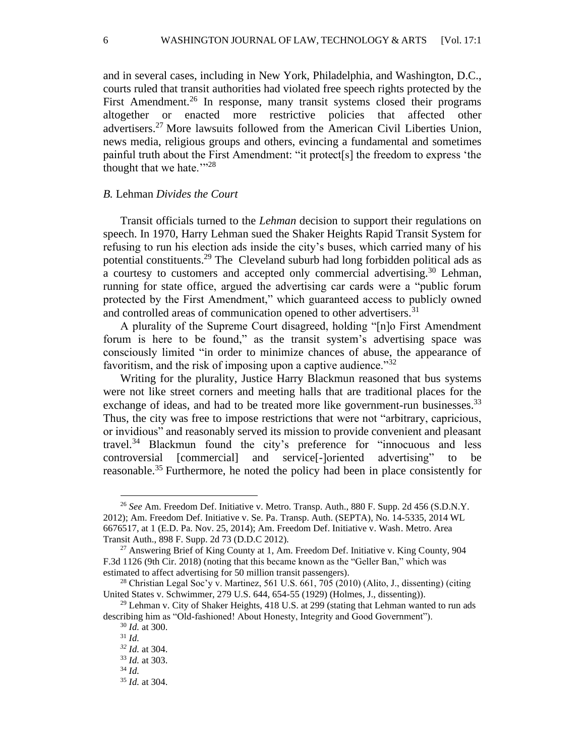and in several cases, including in New York, Philadelphia, and Washington, D.C., courts ruled that transit authorities had violated free speech rights protected by the First Amendment.<sup>26</sup> In response, many transit systems closed their programs altogether or enacted more restrictive policies that affected other advertisers. <sup>27</sup> More lawsuits followed from the American Civil Liberties Union, news media, religious groups and others, evincing a fundamental and sometimes painful truth about the First Amendment: "it protect[s] the freedom to express 'the thought that we hate. $128$ 

# *B.* Lehman *Divides the Court*

Transit officials turned to the *Lehman* decision to support their regulations on speech. In 1970, Harry Lehman sued the Shaker Heights Rapid Transit System for refusing to run his election ads inside the city's buses, which carried many of his potential constituents.<sup>29</sup> The Cleveland suburb had long forbidden political ads as a courtesy to customers and accepted only commercial advertising.<sup>30</sup> Lehman, running for state office, argued the advertising car cards were a "public forum protected by the First Amendment," which guaranteed access to publicly owned and controlled areas of communication opened to other advertisers.<sup>31</sup>

A plurality of the Supreme Court disagreed, holding "[n]o First Amendment forum is here to be found," as the transit system's advertising space was consciously limited "in order to minimize chances of abuse, the appearance of favoritism, and the risk of imposing upon a captive audience.<sup>332</sup>

Writing for the plurality, Justice Harry Blackmun reasoned that bus systems were not like street corners and meeting halls that are traditional places for the exchange of ideas, and had to be treated more like government-run businesses.<sup>33</sup> Thus, the city was free to impose restrictions that were not "arbitrary, capricious, or invidious" and reasonably served its mission to provide convenient and pleasant travel. <sup>34</sup> Blackmun found the city's preference for "innocuous and less controversial [commercial] and service[-]oriented advertising" to be reasonable.<sup>35</sup> Furthermore, he noted the policy had been in place consistently for

<sup>26</sup> *See* Am. Freedom Def. Initiative v. Metro. Transp. Auth., 880 F. Supp. 2d 456 (S.D.N.Y. 2012); Am. Freedom Def. Initiative v. Se. Pa. Transp. Auth. (SEPTA), No. 14-5335, 2014 WL 6676517, at 1 (E.D. Pa. Nov. 25, 2014); Am. Freedom Def. Initiative v. Wash. Metro. Area Transit Auth., 898 F. Supp. 2d 73 (D.D.C 2012).

 $27$  Answering Brief of King County at 1, Am. Freedom Def. Initiative v. King County, 904 F.3d 1126 (9th Cir. 2018) (noting that this became known as the "Geller Ban," which was estimated to affect advertising for 50 million transit passengers).

 $^{28}$  Christian Legal Soc'y v. Martinez, 561 U.S. 661, 705 (2010) (Alito, J., dissenting) (citing United States v. Schwimmer, 279 U.S. 644, 654-55 (1929) (Holmes, J., dissenting)).

 $29$  Lehman v. City of Shaker Heights, 418 U.S. at 299 (stating that Lehman wanted to run ads describing him as "Old-fashioned! About Honesty, Integrity and Good Government").

<sup>30</sup> *Id.* at 300.

<sup>31</sup> *Id.*

*<sup>32</sup> Id.* at 304.

<sup>33</sup> *Id.* at 303. <sup>34</sup> *Id.*

<sup>35</sup> *Id.* at 304.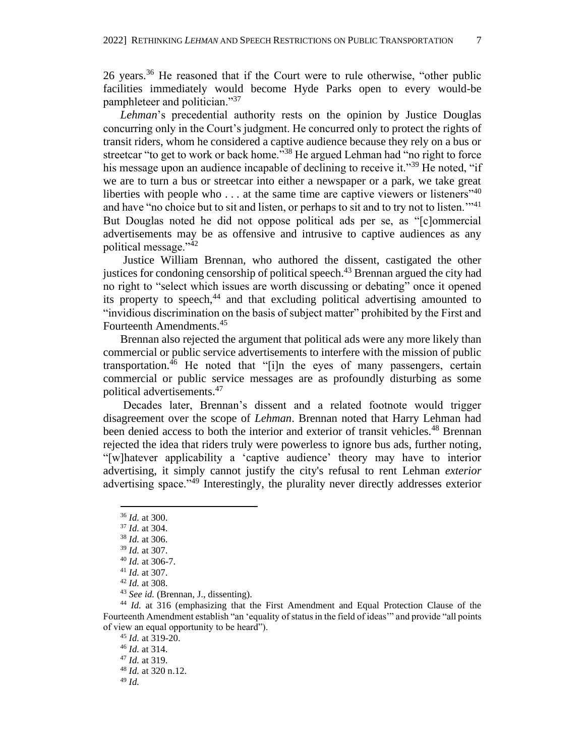26 years.<sup>36</sup> He reasoned that if the Court were to rule otherwise, "other public facilities immediately would become Hyde Parks open to every would-be pamphleteer and politician."<sup>37</sup>

*Lehman*'s precedential authority rests on the opinion by Justice Douglas concurring only in the Court's judgment. He concurred only to protect the rights of transit riders, whom he considered a captive audience because they rely on a bus or streetcar "to get to work or back home."<sup>38</sup> He argued Lehman had "no right to force" his message upon an audience incapable of declining to receive it."<sup>39</sup> He noted, "if we are to turn a bus or streetcar into either a newspaper or a park, we take great liberties with people who  $\dots$  at the same time are captive viewers or listeners<sup> $140$ </sup> and have "no choice but to sit and listen, or perhaps to sit and to try not to listen."<sup>41</sup> But Douglas noted he did not oppose political ads per se, as "[c]ommercial advertisements may be as offensive and intrusive to captive audiences as any political message."<sup>42</sup>

Justice William Brennan, who authored the dissent, castigated the other justices for condoning censorship of political speech.<sup>43</sup> Brennan argued the city had no right to "select which issues are worth discussing or debating" once it opened its property to speech, $44$  and that excluding political advertising amounted to "invidious discrimination on the basis of subject matter" prohibited by the First and Fourteenth Amendments.<sup>45</sup>

Brennan also rejected the argument that political ads were any more likely than commercial or public service advertisements to interfere with the mission of public transportation.<sup>46</sup> He noted that "[i]n the eyes of many passengers, certain commercial or public service messages are as profoundly disturbing as some political advertisements.<sup>47</sup>

Decades later, Brennan's dissent and a related footnote would trigger disagreement over the scope of *Lehman*. Brennan noted that Harry Lehman had been denied access to both the interior and exterior of transit vehicles.<sup>48</sup> Brennan rejected the idea that riders truly were powerless to ignore bus ads, further noting, "[w]hatever applicability a 'captive audience' theory may have to interior advertising, it simply cannot justify the city's refusal to rent Lehman *exterior* advertising space."<sup>49</sup> Interestingly, the plurality never directly addresses exterior

<sup>44</sup> *Id.* at 316 (emphasizing that the First Amendment and Equal Protection Clause of the Fourteenth Amendment establish "an 'equality of status in the field of ideas'" and provide "all points of view an equal opportunity to be heard").

 *Id.* at 319-20. *Id.* at 314. *Id.* at 319. *Id.* at 320 n.12. <sup>49</sup> *Id.*

<sup>36</sup> *Id.* at 300.

<sup>37</sup> *Id.* at 304.

<sup>38</sup> *Id.* at 306.

<sup>39</sup> *Id.* at 307.

<sup>40</sup> *Id.* at 306-7.

<sup>41</sup> *Id.* at 307.

<sup>42</sup> *Id.* at 308.

<sup>43</sup> *See id.* (Brennan, J., dissenting).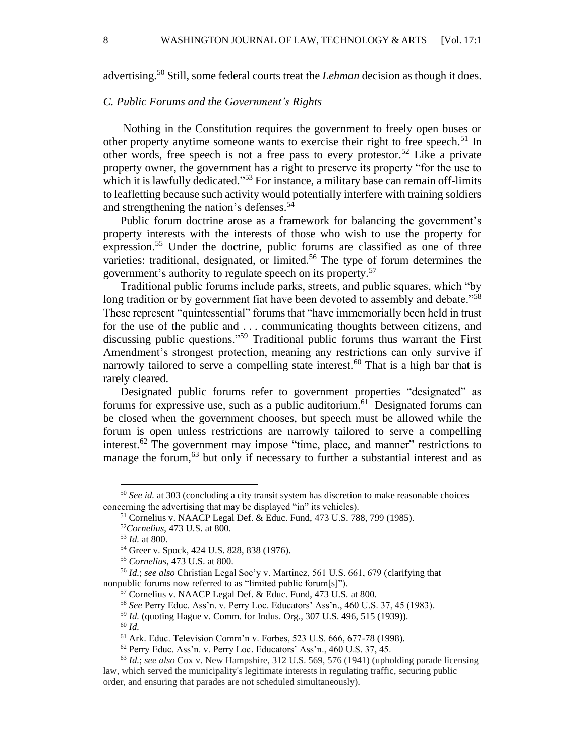advertising.<sup>50</sup> Still, some federal courts treat the *Lehman* decision as though it does.

# *C. Public Forums and the Government's Rights*

Nothing in the Constitution requires the government to freely open buses or other property anytime someone wants to exercise their right to free speech.<sup>51</sup> In other words, free speech is not a free pass to every protestor.<sup>52</sup> Like a private property owner, the government has a right to preserve its property "for the use to which it is lawfully dedicated."<sup>53</sup> For instance, a military base can remain off-limits to leafletting because such activity would potentially interfere with training soldiers and strengthening the nation's defenses. 54

Public forum doctrine arose as a framework for balancing the government's property interests with the interests of those who wish to use the property for expression.<sup>55</sup> Under the doctrine, public forums are classified as one of three varieties: traditional, designated, or limited.<sup>56</sup> The type of forum determines the government's authority to regulate speech on its property. 57

Traditional public forums include parks, streets, and public squares, which "by long tradition or by government fiat have been devoted to assembly and debate."<sup>58</sup> These represent "quintessential" forums that "have immemorially been held in trust for the use of the public and . . . communicating thoughts between citizens, and discussing public questions."<sup>59</sup> Traditional public forums thus warrant the First Amendment's strongest protection, meaning any restrictions can only survive if narrowly tailored to serve a compelling state interest.<sup>60</sup> That is a high bar that is rarely cleared.

Designated public forums refer to government properties "designated" as forums for expressive use, such as a public auditorium. <sup>61</sup> Designated forums can be closed when the government chooses, but speech must be allowed while the forum is open unless restrictions are narrowly tailored to serve a compelling interest.<sup>62</sup> The government may impose "time, place, and manner" restrictions to manage the forum,<sup>63</sup> but only if necessary to further a substantial interest and as

<sup>50</sup> *See id.* at 303 (concluding a city transit system has discretion to make reasonable choices concerning the advertising that may be displayed "in" its vehicles).

<sup>51</sup> Cornelius v. NAACP Legal Def. & Educ. Fund, 473 U.S. 788, 799 (1985).

<sup>52</sup>*Cornelius*, 473 U.S. at 800.

<sup>53</sup> *Id.* at 800.

<sup>54</sup> Greer v. Spock, 424 U.S. 828, 838 (1976).

<sup>55</sup> *Cornelius*, 473 U.S. at 800.

<sup>56</sup> *Id.*; *see also* Christian Legal Soc'y v. Martinez, 561 U.S. 661, 679 (clarifying that nonpublic forums now referred to as "limited public forum[s]").

<sup>&</sup>lt;sup>57</sup> Cornelius v. NAACP Legal Def. & Educ. Fund, 473 U.S. at 800.

<sup>58</sup> *See* Perry Educ. Ass'n. v. Perry Loc. Educators' Ass'n., 460 U.S. 37, 45 (1983).

<sup>59</sup> *Id.* (quoting Hague v. Comm. for Indus. Org., 307 U.S. 496, 515 (1939)).

<sup>60</sup> *Id.*

<sup>61</sup> Ark. Educ. Television Comm'n v. Forbes, 523 U.S. 666, 677-78 (1998).

<sup>62</sup> Perry Educ. Ass'n. v. Perry Loc. Educators' Ass'n., 460 U.S. 37, 45.

<sup>63</sup> *Id.*; *see also* Cox v. New Hampshire, 312 U.S. 569, 576 (1941) (upholding parade licensing law, which served the municipality's legitimate interests in regulating traffic, securing public order, and ensuring that parades are not scheduled simultaneously).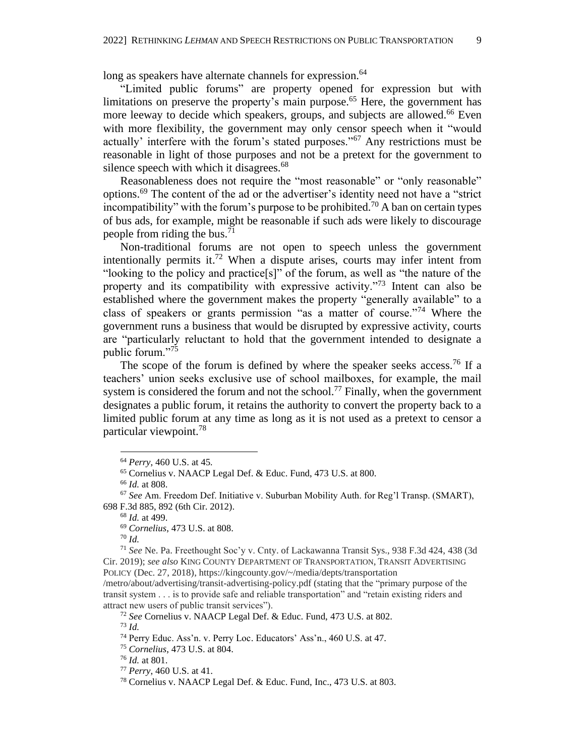long as speakers have alternate channels for expression.<sup>64</sup>

"Limited public forums" are property opened for expression but with limitations on preserve the property's main purpose.<sup>65</sup> Here, the government has more leeway to decide which speakers, groups, and subjects are allowed.<sup>66</sup> Even with more flexibility, the government may only censor speech when it "would actually' interfere with the forum's stated purposes."<sup>67</sup> Any restrictions must be reasonable in light of those purposes and not be a pretext for the government to silence speech with which it disagrees.<sup>68</sup>

Reasonableness does not require the "most reasonable" or "only reasonable" options.<sup>69</sup> The content of the ad or the advertiser's identity need not have a "strict incompatibility" with the forum's purpose to be prohibited.<sup>70</sup> A ban on certain types of bus ads, for example, might be reasonable if such ads were likely to discourage people from riding the bus.<sup>71</sup>

Non-traditional forums are not open to speech unless the government intentionally permits it.<sup>72</sup> When a dispute arises, courts may infer intent from "looking to the policy and practice[s]" of the forum, as well as "the nature of the property and its compatibility with expressive activity."<sup>73</sup> Intent can also be established where the government makes the property "generally available" to a class of speakers or grants permission "as a matter of course."<sup>74</sup> Where the government runs a business that would be disrupted by expressive activity, courts are "particularly reluctant to hold that the government intended to designate a public forum."<sup>75</sup>

The scope of the forum is defined by where the speaker seeks access.<sup>76</sup> If a teachers' union seeks exclusive use of school mailboxes, for example, the mail system is considered the forum and not the school.<sup>77</sup> Finally, when the government designates a public forum, it retains the authority to convert the property back to a limited public forum at any time as long as it is not used as a pretext to censor a particular viewpoint.<sup>78</sup>

<sup>69</sup> *Cornelius*, 473 U.S. at 808.

<sup>70</sup> *Id.*

<sup>73</sup> *Id.*

<sup>64</sup> *Perry*, 460 U.S. at 45*.*

<sup>65</sup> Cornelius v. NAACP Legal Def. & Educ. Fund, 473 U.S. at 800.

<sup>66</sup> *Id.* at 808.

<sup>67</sup> *See* Am. Freedom Def. Initiative v. Suburban Mobility Auth. for Reg'l Transp. (SMART), 698 F.3d 885, 892 (6th Cir. 2012).

<sup>68</sup> *Id.* at 499.

<sup>71</sup> *See* Ne. Pa. Freethought Soc'y v. Cnty. of Lackawanna Transit Sys., 938 F.3d 424, 438 (3d Cir. 2019); *see also* KING COUNTY DEPARTMENT OF TRANSPORTATION, TRANSIT ADVERTISING POLICY (Dec. 27, 2018), https://kingcounty.gov/~/media/depts/transportation

<sup>/</sup>metro/about/advertising/transit-advertising-policy.pdf (stating that the "primary purpose of the transit system . . . is to provide safe and reliable transportation" and "retain existing riders and attract new users of public transit services").

<sup>72</sup> *See* Cornelius v. NAACP Legal Def. & Educ. Fund, 473 U.S. at 802.

<sup>74</sup> Perry Educ. Ass'n. v. Perry Loc. Educators' Ass'n., 460 U.S. at 47.

<sup>75</sup> *Cornelius*, 473 U.S. at 804.

<sup>76</sup> *Id.* at 801.

<sup>77</sup> *Perry*, 460 U.S. at 41.

<sup>78</sup> Cornelius v. NAACP Legal Def. & Educ. Fund, Inc., 473 U.S. at 803.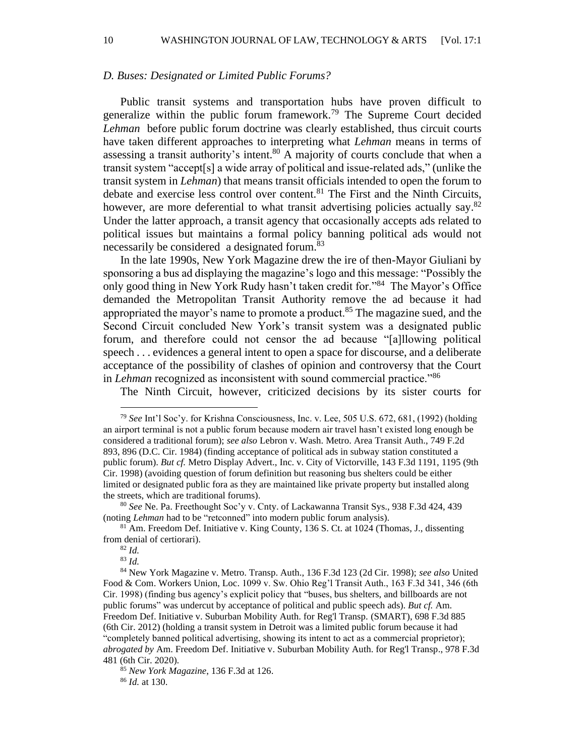10 WASHINGTON JOURNAL OF LAW, TECHNOLOGY & ARTS [Vol. 17:1]

#### *D. Buses: Designated or Limited Public Forums?*

Public transit systems and transportation hubs have proven difficult to generalize within the public forum framework.<sup>79</sup> The Supreme Court decided *Lehman* before public forum doctrine was clearly established, thus circuit courts have taken different approaches to interpreting what *Lehman* means in terms of assessing a transit authority's intent.<sup>80</sup> A majority of courts conclude that when a transit system "accept[s] a wide array of political and issue-related ads," (unlike the transit system in *Lehman*) that means transit officials intended to open the forum to debate and exercise less control over content.<sup>81</sup> The First and the Ninth Circuits, however, are more deferential to what transit advertising policies actually say.<sup>82</sup> Under the latter approach, a transit agency that occasionally accepts ads related to political issues but maintains a formal policy banning political ads would not necessarily be considered a designated forum.<sup>83</sup>

In the late 1990s, New York Magazine drew the ire of then-Mayor Giuliani by sponsoring a bus ad displaying the magazine's logo and this message: "Possibly the only good thing in New York Rudy hasn't taken credit for."<sup>84</sup> The Mayor's Office demanded the Metropolitan Transit Authority remove the ad because it had appropriated the mayor's name to promote a product.<sup>85</sup> The magazine sued, and the Second Circuit concluded New York's transit system was a designated public forum, and therefore could not censor the ad because "[a]llowing political speech . . . evidences a general intent to open a space for discourse, and a deliberate acceptance of the possibility of clashes of opinion and controversy that the Court in *Lehman* recognized as inconsistent with sound commercial practice."<sup>86</sup>

The Ninth Circuit, however, criticized decisions by its sister courts for

<sup>80</sup> *See* Ne. Pa. Freethought Soc'y v. Cnty. of Lackawanna Transit Sys., 938 F.3d 424, 439 (noting *Lehman* had to be "retconned" into modern public forum analysis).

<sup>81</sup> Am. Freedom Def. Initiative v. King County, 136 S. Ct. at 1024 (Thomas, J., dissenting from denial of certiorari).

<sup>82</sup> *Id.*

<sup>83</sup> *Id.*

<sup>85</sup> *New York Magazine*, 136 F.3d at 126. <sup>86</sup> *Id.* at 130.

<sup>79</sup> *See* Int'l Soc'y. for Krishna Consciousness, Inc. v. Lee, 505 U.S. 672, 681, (1992) (holding an airport terminal is not a public forum because modern air travel hasn't existed long enough be considered a traditional forum); *see also* Lebron v. Wash. Metro. Area Transit Auth., 749 F.2d 893, 896 (D.C. Cir. 1984) (finding acceptance of political ads in subway station constituted a public forum). *But cf.* Metro Display Advert., Inc. v. City of Victorville, 143 F.3d 1191, 1195 (9th Cir. 1998) (avoiding question of forum definition but reasoning bus shelters could be either limited or designated public fora as they are maintained like private property but installed along the streets, which are traditional forums).

<sup>84</sup> New York Magazine v. Metro. Transp. Auth., 136 F.3d 123 (2d Cir. 1998); *see also* United Food & Com. Workers Union, Loc. 1099 v. Sw. Ohio Reg'l Transit Auth., 163 F.3d 341, 346 (6th Cir. 1998) (finding bus agency's explicit policy that "buses, bus shelters, and billboards are not public forums" was undercut by acceptance of political and public speech ads). *But cf.* Am. Freedom Def. Initiative v. Suburban Mobility Auth. for Reg'l Transp. (SMART), 698 F.3d 885 (6th Cir. 2012) (holding a transit system in Detroit was a limited public forum because it had "completely banned political advertising, showing its intent to act as a commercial proprietor); *abrogated by* Am. Freedom Def. Initiative v. Suburban Mobility Auth. for Reg'l Transp., 978 F.3d 481 (6th Cir. 2020).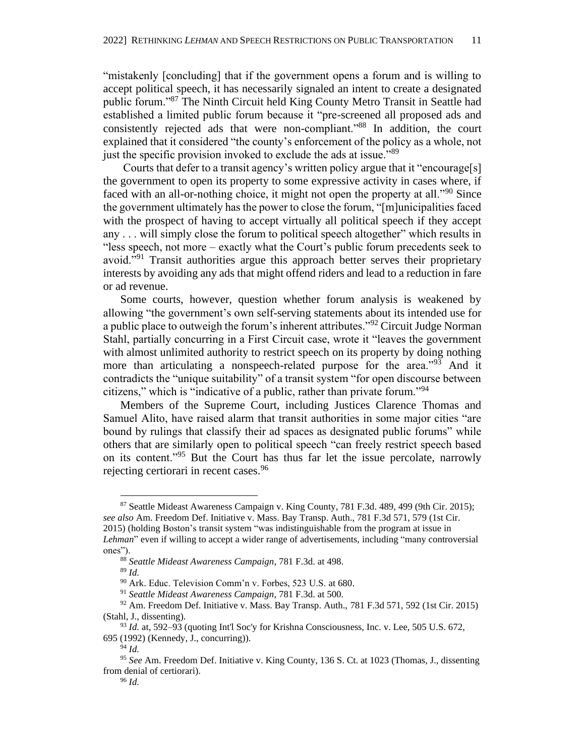"mistakenly [concluding] that if the government opens a forum and is willing to accept political speech, it has necessarily signaled an intent to create a designated public forum."<sup>87</sup> The Ninth Circuit held King County Metro Transit in Seattle had established a limited public forum because it "pre-screened all proposed ads and consistently rejected ads that were non-compliant."<sup>88</sup> In addition, the court explained that it considered "the county's enforcement of the policy as a whole, not just the specific provision invoked to exclude the ads at issue."<sup>89</sup>

Courts that defer to a transit agency's written policy argue that it "encourage[s] the government to open its property to some expressive activity in cases where, if faced with an all-or-nothing choice, it might not open the property at all."<sup>90</sup> Since the government ultimately has the power to close the forum, "[m]unicipalities faced with the prospect of having to accept virtually all political speech if they accept any . . . will simply close the forum to political speech altogether" which results in "less speech, not more – exactly what the Court's public forum precedents seek to avoid."<sup>91</sup> Transit authorities argue this approach better serves their proprietary interests by avoiding any ads that might offend riders and lead to a reduction in fare or ad revenue.

Some courts, however, question whether forum analysis is weakened by allowing "the government's own self-serving statements about its intended use for a public place to outweigh the forum's inherent attributes."<sup>92</sup> Circuit Judge Norman Stahl, partially concurring in a First Circuit case, wrote it "leaves the government with almost unlimited authority to restrict speech on its property by doing nothing more than articulating a nonspeech-related purpose for the area."<sup>93</sup> And it contradicts the "unique suitability" of a transit system "for open discourse between citizens," which is "indicative of a public, rather than private forum."<sup>94</sup>

Members of the Supreme Court, including Justices Clarence Thomas and Samuel Alito, have raised alarm that transit authorities in some major cities "are bound by rulings that classify their ad spaces as designated public forums" while others that are similarly open to political speech "can freely restrict speech based on its content."<sup>95</sup> But the Court has thus far let the issue percolate, narrowly rejecting certiorari in recent cases.<sup>96</sup>

<sup>87</sup> Seattle Mideast Awareness Campaign v. King County, 781 F.3d. 489, 499 (9th Cir. 2015); *see also* Am. Freedom Def. Initiative v. Mass. Bay Transp. Auth., 781 F.3d 571, 579 (1st Cir. 2015) (holding Boston's transit system "was indistinguishable from the program at issue in *Lehman*" even if willing to accept a wider range of advertisements, including "many controversial ones").

<sup>88</sup> *Seattle Mideast Awareness Campaign*, 781 F.3d. at 498.

<sup>89</sup> *Id.*

<sup>90</sup> Ark. Educ. Television Comm'n v. Forbes, 523 U.S. at 680.

<sup>91</sup> *Seattle Mideast Awareness Campaign*, 781 F.3d. at 500.

<sup>92</sup> Am. Freedom Def. Initiative v. Mass. Bay Transp. Auth., 781 F.3d 571, 592 (1st Cir. 2015) (Stahl, J., dissenting).

<sup>93</sup> *Id.* at, 592–93 (quoting Int'l Soc'y for Krishna Consciousness, Inc. v. Lee, 505 U.S. 672, 695 (1992) (Kennedy, J., concurring)).

<sup>94</sup> *Id.*

<sup>95</sup> *See* Am. Freedom Def. Initiative v. King County, 136 S. Ct. at 1023 (Thomas, J., dissenting from denial of certiorari).

<sup>96</sup> *Id.*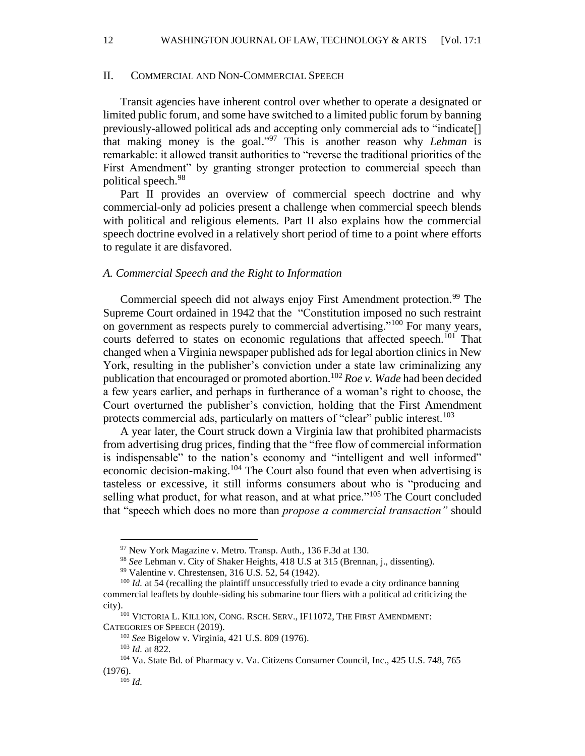12 WASHINGTON JOURNAL OF LAW, TECHNOLOGY & ARTS [Vol. 17:1]

#### II. COMMERCIAL AND NON-COMMERCIAL SPEECH

Transit agencies have inherent control over whether to operate a designated or limited public forum, and some have switched to a limited public forum by banning previously-allowed political ads and accepting only commercial ads to "indicate[] that making money is the goal." <sup>97</sup> This is another reason why *Lehman* is remarkable: it allowed transit authorities to "reverse the traditional priorities of the First Amendment" by granting stronger protection to commercial speech than political speech.<sup>98</sup>

Part II provides an overview of commercial speech doctrine and why commercial-only ad policies present a challenge when commercial speech blends with political and religious elements. Part II also explains how the commercial speech doctrine evolved in a relatively short period of time to a point where efforts to regulate it are disfavored.

#### *A. Commercial Speech and the Right to Information*

Commercial speech did not always enjoy First Amendment protection.<sup>99</sup> The Supreme Court ordained in 1942 that the "Constitution imposed no such restraint on government as respects purely to commercial advertising."<sup>100</sup> For many years, courts deferred to states on economic regulations that affected speech.<sup>101</sup> That changed when a Virginia newspaper published ads for legal abortion clinics in New York, resulting in the publisher's conviction under a state law criminalizing any publication that encouraged or promoted abortion.<sup>102</sup> *Roe v. Wade* had been decided a few years earlier, and perhaps in furtherance of a woman's right to choose, the Court overturned the publisher's conviction, holding that the First Amendment protects commercial ads, particularly on matters of "clear" public interest.<sup>103</sup>

A year later, the Court struck down a Virginia law that prohibited pharmacists from advertising drug prices, finding that the "free flow of commercial information is indispensable" to the nation's economy and "intelligent and well informed" economic decision-making.<sup>104</sup> The Court also found that even when advertising is tasteless or excessive, it still informs consumers about who is "producing and selling what product, for what reason, and at what price."<sup>105</sup> The Court concluded that "speech which does no more than *propose a commercial transaction"* should

<sup>&</sup>lt;sup>97</sup> New York Magazine v. Metro. Transp. Auth., 136 F.3d at 130.

<sup>98</sup> *See* Lehman v. City of Shaker Heights, 418 U.S at 315 (Brennan, j., dissenting).

<sup>99</sup> Valentine v. Chrestensen, 316 U.S. 52, 54 (1942).

<sup>&</sup>lt;sup>100</sup> *Id.* at 54 (recalling the plaintiff unsuccessfully tried to evade a city ordinance banning commercial leaflets by double-siding his submarine tour fliers with a political ad criticizing the city).

<sup>101</sup> VICTORIA L. KILLION, CONG. RSCH. SERV., IF11072, THE FIRST AMENDMENT: CATEGORIES OF SPEECH (2019).

<sup>102</sup> *See* Bigelow v. Virginia, 421 U.S. 809 (1976).

<sup>103</sup> *Id.* at 822*.*

<sup>104</sup> Va. State Bd. of Pharmacy v. Va. Citizens Consumer Council, Inc., 425 U.S. 748, 765 (1976).

<sup>105</sup> *Id.*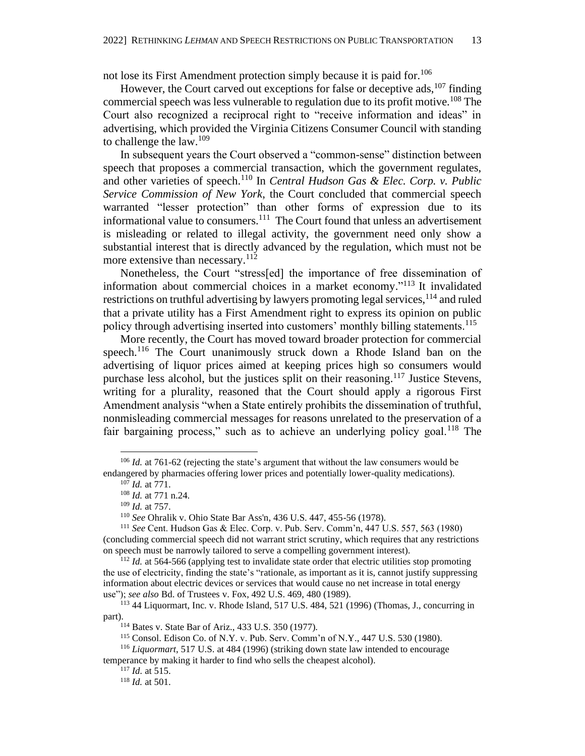not lose its First Amendment protection simply because it is paid for.<sup>106</sup>

However, the Court carved out exceptions for false or deceptive ads,  $^{107}$  finding commercial speech was less vulnerable to regulation due to its profit motive.<sup>108</sup> The Court also recognized a reciprocal right to "receive information and ideas" in advertising, which provided the Virginia Citizens Consumer Council with standing to challenge the law. $109$ 

In subsequent years the Court observed a "common-sense" distinction between speech that proposes a commercial transaction, which the government regulates, and other varieties of speech.<sup>110</sup> In *Central Hudson Gas & Elec. Corp. v. Public Service Commission of New York*, the Court concluded that commercial speech warranted "lesser protection" than other forms of expression due to its informational value to consumers.<sup>111</sup> The Court found that unless an advertisement is misleading or related to illegal activity, the government need only show a substantial interest that is directly advanced by the regulation, which must not be more extensive than necessary.<sup>112</sup>

Nonetheless, the Court "stress[ed] the importance of free dissemination of information about commercial choices in a market economy." <sup>113</sup> It invalidated restrictions on truthful advertising by lawyers promoting legal services, <sup>114</sup> and ruled that a private utility has a First Amendment right to express its opinion on public policy through advertising inserted into customers' monthly billing statements.<sup>115</sup>

More recently, the Court has moved toward broader protection for commercial speech.<sup>116</sup> The Court unanimously struck down a Rhode Island ban on the advertising of liquor prices aimed at keeping prices high so consumers would purchase less alcohol, but the justices split on their reasoning.<sup>117</sup> Justice Stevens, writing for a plurality, reasoned that the Court should apply a rigorous First Amendment analysis "when a State entirely prohibits the dissemination of truthful, nonmisleading commercial messages for reasons unrelated to the preservation of a fair bargaining process," such as to achieve an underlying policy goal.<sup>118</sup> The

<sup>&</sup>lt;sup>106</sup> *Id.* at 761-62 (rejecting the state's argument that without the law consumers would be endangered by pharmacies offering lower prices and potentially lower-quality medications).

<sup>107</sup> *Id.* at 771.

<sup>108</sup> *Id.* at 771 n.24.

<sup>109</sup> *Id.* at 757.

<sup>110</sup> *See* Ohralik v. Ohio State Bar Ass'n, 436 U.S. 447, 455-56 (1978).

<sup>111</sup> *See* Cent. Hudson Gas & Elec. Corp. v. Pub. Serv. Comm'n, 447 U.S. 557, 563 (1980) (concluding commercial speech did not warrant strict scrutiny, which requires that any restrictions on speech must be narrowly tailored to serve a compelling government interest).

<sup>&</sup>lt;sup>112</sup> *Id.* at 564-566 (applying test to invalidate state order that electric utilities stop promoting the use of electricity, finding the state's "rationale, as important as it is, cannot justify suppressing information about electric devices or services that would cause no net increase in total energy use"); *see also* Bd. of Trustees v. Fox, 492 U.S. 469, 480 (1989).

<sup>113</sup> 44 Liquormart, Inc. v. Rhode Island, 517 U.S. 484, 521 (1996) (Thomas, J., concurring in part).

<sup>114</sup> Bates v. State Bar of Ariz., 433 U.S. 350 (1977).

<sup>115</sup> Consol. Edison Co. of N.Y. v. Pub. Serv. Comm'n of N.Y., 447 U.S. 530 (1980).

<sup>116</sup> *Liquormart*, 517 U.S. at 484 (1996) (striking down state law intended to encourage temperance by making it harder to find who sells the cheapest alcohol).

<sup>117</sup> *Id.* at 515.

<sup>118</sup> *Id.* at 501.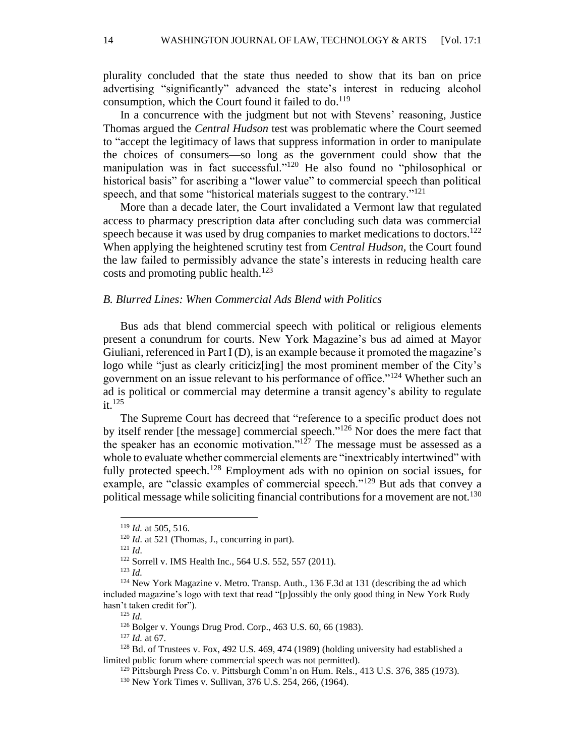plurality concluded that the state thus needed to show that its ban on price advertising "significantly" advanced the state's interest in reducing alcohol consumption, which the Court found it failed to do.<sup>119</sup>

In a concurrence with the judgment but not with Stevens' reasoning, Justice Thomas argued the *Central Hudson* test was problematic where the Court seemed to "accept the legitimacy of laws that suppress information in order to manipulate the choices of consumers—so long as the government could show that the manipulation was in fact successful."<sup>120</sup> He also found no "philosophical or historical basis" for ascribing a "lower value" to commercial speech than political speech, and that some "historical materials suggest to the contrary."<sup>121</sup>

More than a decade later, the Court invalidated a Vermont law that regulated access to pharmacy prescription data after concluding such data was commercial speech because it was used by drug companies to market medications to doctors.<sup>122</sup> When applying the heightened scrutiny test from *Central Hudson,* the Court found the law failed to permissibly advance the state's interests in reducing health care costs and promoting public health.<sup>123</sup>

#### *B. Blurred Lines: When Commercial Ads Blend with Politics*

Bus ads that blend commercial speech with political or religious elements present a conundrum for courts. New York Magazine's bus ad aimed at Mayor Giuliani, referenced in Part I (D), is an example because it promoted the magazine's logo while "just as clearly criticiz[ing] the most prominent member of the City's government on an issue relevant to his performance of office."<sup>124</sup> Whether such an ad is political or commercial may determine a transit agency's ability to regulate  $it.$ <sup>125</sup>

The Supreme Court has decreed that "reference to a specific product does not by itself render [the message] commercial speech."<sup>126</sup> Nor does the mere fact that the speaker has an economic motivation." $127$  The message must be assessed as a whole to evaluate whether commercial elements are "inextricably intertwined" with fully protected speech.<sup>128</sup> Employment ads with no opinion on social issues, for example, are "classic examples of commercial speech."<sup>129</sup> But ads that convey a political message while soliciting financial contributions for a movement are not.<sup>130</sup>

<sup>121</sup> *Id.*

<sup>119</sup> *Id.* at 505, 516.

<sup>&</sup>lt;sup>120</sup> *Id.* at 521 (Thomas, J., concurring in part).

<sup>122</sup> Sorrell v. IMS Health Inc., 564 U.S. 552, 557 (2011).

<sup>123</sup> *Id.*

<sup>&</sup>lt;sup>124</sup> New York Magazine v. Metro. Transp. Auth., 136 F.3d at 131 (describing the ad which included magazine's logo with text that read "[p]ossibly the only good thing in New York Rudy hasn't taken credit for").

<sup>125</sup> *Id.*

<sup>126</sup> Bolger v. Youngs Drug Prod. Corp., 463 U.S. 60, 66 (1983).

<sup>127</sup> *Id.* at 67.

 $128$  Bd. of Trustees v. Fox, 492 U.S. 469, 474 (1989) (holding university had established a limited public forum where commercial speech was not permitted).

<sup>&</sup>lt;sup>129</sup> Pittsburgh Press Co. v. Pittsburgh Comm'n on Hum. Rels., 413 U.S. 376, 385 (1973).

<sup>130</sup> New York Times v. Sullivan, 376 U.S. 254, 266, (1964).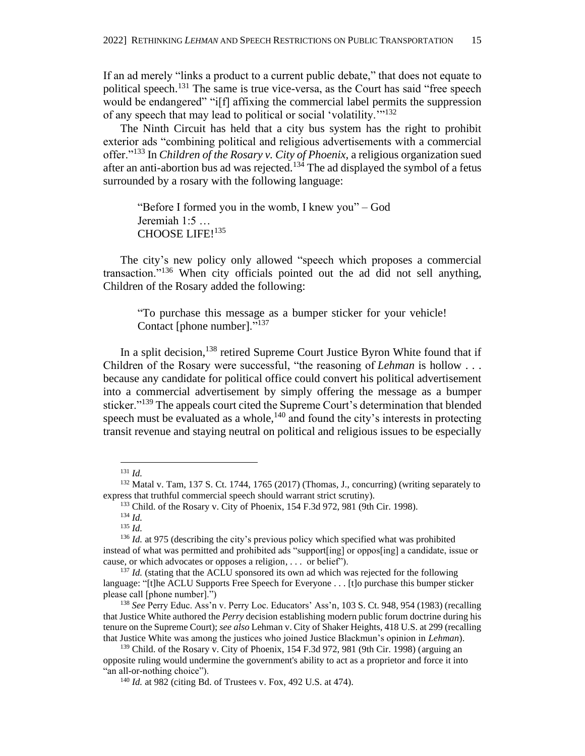If an ad merely "links a product to a current public debate," that does not equate to political speech.<sup>131</sup> The same is true vice-versa, as the Court has said "free speech" would be endangered" "i<sup>[f]</sup> affixing the commercial label permits the suppression of any speech that may lead to political or social 'volatility.'"<sup>132</sup>

The Ninth Circuit has held that a city bus system has the right to prohibit exterior ads "combining political and religious advertisements with a commercial offer."<sup>133</sup> In *Children of the Rosary v. City of Phoenix,* a religious organization sued after an anti-abortion bus ad was rejected.<sup>134</sup> The ad displayed the symbol of a fetus surrounded by a rosary with the following language:

"Before I formed you in the womb, I knew you" – God Jeremiah 1:5 … CHOOSE LIFE!<sup>135</sup>

The city's new policy only allowed "speech which proposes a commercial transaction."<sup>136</sup> When city officials pointed out the ad did not sell anything, Children of the Rosary added the following:

"To purchase this message as a bumper sticker for your vehicle! Contact [phone number]."<sup>137</sup>

In a split decision,<sup>138</sup> retired Supreme Court Justice Byron White found that if Children of the Rosary were successful, "the reasoning of *Lehman* is hollow . . . because any candidate for political office could convert his political advertisement into a commercial advertisement by simply offering the message as a bumper sticker."<sup>139</sup> The appeals court cited the Supreme Court's determination that blended speech must be evaluated as a whole, $140$  and found the city's interests in protecting transit revenue and staying neutral on political and religious issues to be especially

<sup>131</sup> *Id.*

 $132$  Matal v. Tam, 137 S. Ct. 1744, 1765 (2017) (Thomas, J., concurring) (writing separately to express that truthful commercial speech should warrant strict scrutiny).

<sup>133</sup> Child. of the Rosary v. City of Phoenix, 154 F.3d 972, 981 (9th Cir. 1998).

<sup>134</sup> *Id.*

<sup>135</sup> *Id.*

<sup>&</sup>lt;sup>136</sup> *Id.* at 975 (describing the city's previous policy which specified what was prohibited instead of what was permitted and prohibited ads "support[ing] or oppos[ing] a candidate, issue or cause, or which advocates or opposes a religion, . . . or belief").

<sup>&</sup>lt;sup>137</sup> *Id.* (stating that the ACLU sponsored its own ad which was rejected for the following language: "[t]he ACLU Supports Free Speech for Everyone . . . [t]o purchase this bumper sticker please call [phone number].")

<sup>138</sup> *See* Perry Educ. Ass'n v. Perry Loc. Educators' Ass'n, 103 S. Ct. 948, 954 (1983) (recalling that Justice White authored the *Perry* decision establishing modern public forum doctrine during his tenure on the Supreme Court); *see also* Lehman v. City of Shaker Heights, 418 U.S. at 299 (recalling that Justice White was among the justices who joined Justice Blackmun's opinion in *Lehman*).

<sup>&</sup>lt;sup>139</sup> Child. of the Rosary v. City of Phoenix, 154 F.3d 972, 981 (9th Cir. 1998) (arguing an opposite ruling would undermine the government's ability to act as a proprietor and force it into "an all-or-nothing choice").

<sup>140</sup> *Id.* at 982 (citing Bd. of Trustees v. Fox, 492 U.S. at 474).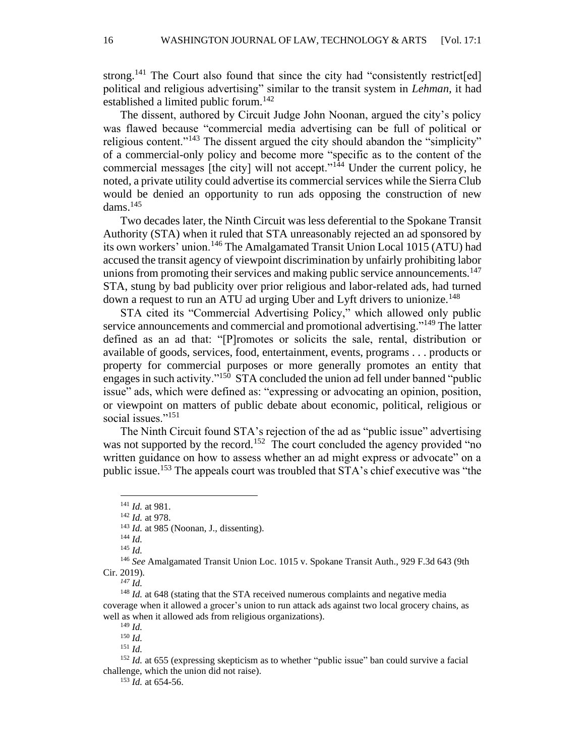strong.<sup>141</sup> The Court also found that since the city had "consistently restrict[ed] political and religious advertising" similar to the transit system in *Lehman,* it had established a limited public forum.<sup>142</sup>

The dissent, authored by Circuit Judge John Noonan, argued the city's policy was flawed because "commercial media advertising can be full of political or religious content."<sup>143</sup> The dissent argued the city should abandon the "simplicity" of a commercial-only policy and become more "specific as to the content of the commercial messages [the city] will not accept." $1<sup>44</sup>$  Under the current policy, he noted, a private utility could advertise its commercial services while the Sierra Club would be denied an opportunity to run ads opposing the construction of new dams. 145

Two decades later, the Ninth Circuit was less deferential to the Spokane Transit Authority (STA) when it ruled that STA unreasonably rejected an ad sponsored by its own workers' union.<sup>146</sup> The Amalgamated Transit Union Local 1015 (ATU) had accused the transit agency of viewpoint discrimination by unfairly prohibiting labor unions from promoting their services and making public service announcements.<sup>147</sup> STA, stung by bad publicity over prior religious and labor-related ads, had turned down a request to run an ATU ad urging Uber and Lyft drivers to unionize.<sup>148</sup>

STA cited its "Commercial Advertising Policy," which allowed only public service announcements and commercial and promotional advertising."<sup>149</sup> The latter defined as an ad that: "[P]romotes or solicits the sale, rental, distribution or available of goods, services, food, entertainment, events, programs . . . products or property for commercial purposes or more generally promotes an entity that engages in such activity."<sup>150</sup> STA concluded the union ad fell under banned "public issue" ads, which were defined as: "expressing or advocating an opinion, position, or viewpoint on matters of public debate about economic, political, religious or social issues."<sup>151</sup>

The Ninth Circuit found STA's rejection of the ad as "public issue" advertising was not supported by the record.<sup>152</sup> The court concluded the agency provided "no written guidance on how to assess whether an ad might express or advocate" on a public issue.<sup>153</sup> The appeals court was troubled that STA's chief executive was "the

<sup>141</sup> *Id.* at 981.

<sup>142</sup> *Id.* at 978.

<sup>143</sup> *Id.* at 985 (Noonan, J., dissenting).

<sup>144</sup> *Id.*

<sup>145</sup> *Id.*

<sup>146</sup> *See* Amalgamated Transit Union Loc. 1015 v. Spokane Transit Auth., 929 F.3d 643 (9th Cir. 2019).

*<sup>147</sup> Id.*

<sup>&</sup>lt;sup>148</sup> *Id.* at 648 (stating that the STA received numerous complaints and negative media coverage when it allowed a grocer's union to run attack ads against two local grocery chains, as well as when it allowed ads from religious organizations).

<sup>149</sup> *Id.*

<sup>150</sup> *Id.*

<sup>151</sup> *Id.*

<sup>&</sup>lt;sup>152</sup> *Id.* at 655 (expressing skepticism as to whether "public issue" ban could survive a facial challenge, which the union did not raise).

<sup>153</sup> *Id.* at 654-56.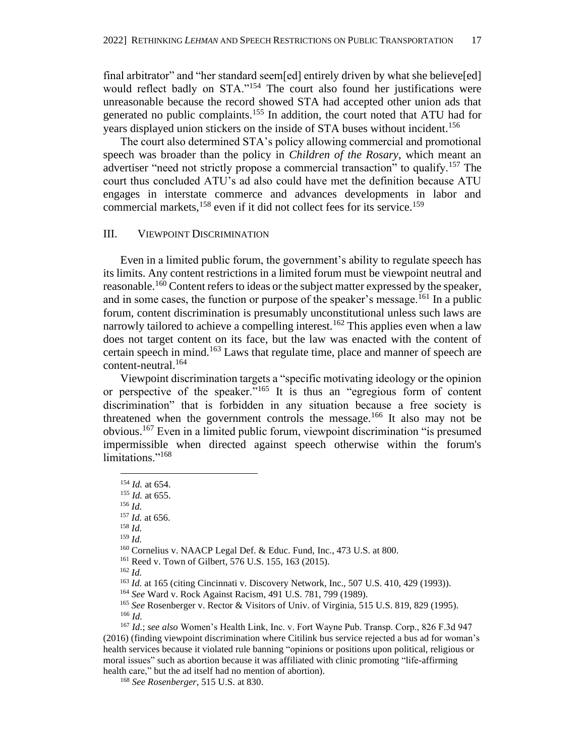final arbitrator" and "her standard seem[ed] entirely driven by what she believe[ed] would reflect badly on STA."<sup>154</sup> The court also found her justifications were unreasonable because the record showed STA had accepted other union ads that generated no public complaints.<sup>155</sup> In addition, the court noted that ATU had for years displayed union stickers on the inside of STA buses without incident.<sup>156</sup>

The court also determined STA's policy allowing commercial and promotional speech was broader than the policy in *Children of the Rosary*, which meant an advertiser "need not strictly propose a commercial transaction" to qualify.<sup>157</sup> The court thus concluded ATU's ad also could have met the definition because ATU engages in interstate commerce and advances developments in labor and commercial markets,  $158$  even if it did not collect fees for its service.<sup>159</sup>

#### III. VIEWPOINT DISCRIMINATION

Even in a limited public forum, the government's ability to regulate speech has its limits. Any content restrictions in a limited forum must be viewpoint neutral and reasonable.<sup>160</sup> Content refers to ideas or the subject matter expressed by the speaker, and in some cases, the function or purpose of the speaker's message.<sup>161</sup> In a public forum, content discrimination is presumably unconstitutional unless such laws are narrowly tailored to achieve a compelling interest.<sup>162</sup> This applies even when a law does not target content on its face, but the law was enacted with the content of certain speech in mind.<sup>163</sup> Laws that regulate time, place and manner of speech are content-neutral.<sup>164</sup>

Viewpoint discrimination targets a "specific motivating ideology or the opinion or perspective of the speaker."<sup>165</sup> It is thus an "egregious form of content discrimination" that is forbidden in any situation because a free society is threatened when the government controls the message.<sup>166</sup> It also may not be obvious.<sup>167</sup> Even in a limited public forum, viewpoint discrimination "is presumed impermissible when directed against speech otherwise within the forum's limitations."<sup>168</sup>

<sup>158</sup> *Id.*

<sup>162</sup> *Id.*

<sup>154</sup> *Id.* at 654.

<sup>155</sup> *Id.* at 655.

<sup>156</sup> *Id.*

<sup>157</sup> *Id.* at 656.

<sup>159</sup> *Id.*

<sup>160</sup> Cornelius v. NAACP Legal Def. & Educ. Fund, Inc., 473 U.S. at 800.

<sup>161</sup> Reed v. Town of Gilbert, 576 U.S. 155, 163 (2015).

<sup>&</sup>lt;sup>163</sup> *Id.* at 165 (citing Cincinnati v. Discovery Network, Inc., 507 U.S. 410, 429 (1993)).

<sup>164</sup> *See* Ward v. Rock Against Racism, 491 U.S. 781, 799 (1989).

<sup>165</sup> *See* Rosenberger v. Rector & Visitors of Univ. of Virginia, 515 U.S. 819, 829 (1995). <sup>166</sup> *Id.*

<sup>167</sup> *Id.*; *see also* Women's Health Link, Inc. v. Fort Wayne Pub. Transp. Corp., 826 F.3d 947 (2016) (finding viewpoint discrimination where Citilink bus service rejected a bus ad for woman's health services because it violated rule banning "opinions or positions upon political, religious or moral issues" such as abortion because it was affiliated with clinic promoting "life-affirming health care," but the ad itself had no mention of abortion).

<sup>168</sup> *See Rosenberger*, 515 U.S. at 830.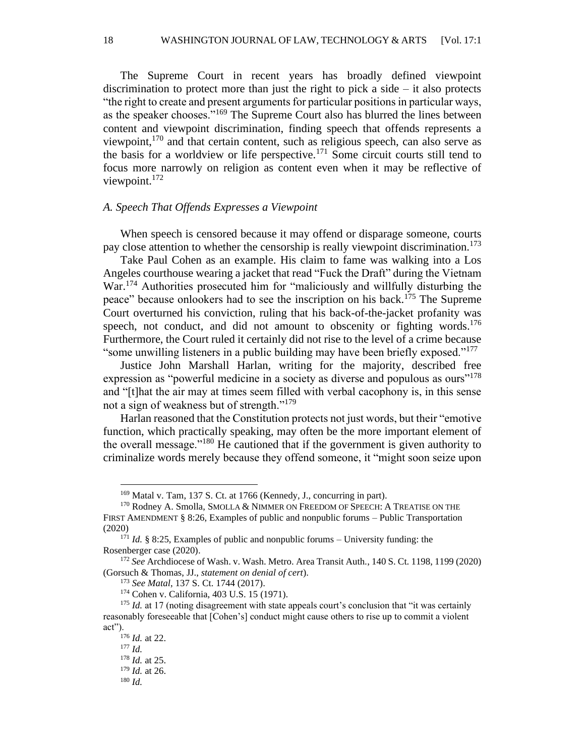18 WASHINGTON JOURNAL OF LAW, TECHNOLOGY & ARTS [Vol. 17:1

The Supreme Court in recent years has broadly defined viewpoint discrimination to protect more than just the right to pick a side – it also protects "the right to create and present arguments for particular positions in particular ways, as the speaker chooses."<sup>169</sup> The Supreme Court also has blurred the lines between content and viewpoint discrimination, finding speech that offends represents a viewpoint, $170$  and that certain content, such as religious speech, can also serve as the basis for a worldview or life perspective.<sup>171</sup> Some circuit courts still tend to focus more narrowly on religion as content even when it may be reflective of viewpoint.<sup>172</sup>

#### *A. Speech That Offends Expresses a Viewpoint*

When speech is censored because it may offend or disparage someone, courts pay close attention to whether the censorship is really viewpoint discrimination.<sup>173</sup>

Take Paul Cohen as an example. His claim to fame was walking into a Los Angeles courthouse wearing a jacket that read "Fuck the Draft" during the Vietnam War.<sup>174</sup> Authorities prosecuted him for "maliciously and willfully disturbing the peace" because onlookers had to see the inscription on his back.<sup>175</sup> The Supreme Court overturned his conviction, ruling that his back-of-the-jacket profanity was speech, not conduct, and did not amount to obscenity or fighting words.<sup>176</sup> Furthermore, the Court ruled it certainly did not rise to the level of a crime because "some unwilling listeners in a public building may have been briefly exposed."<sup>177</sup>

Justice John Marshall Harlan, writing for the majority, described free expression as "powerful medicine in a society as diverse and populous as ours"<sup>178</sup> and "[t]hat the air may at times seem filled with verbal cacophony is, in this sense not a sign of weakness but of strength."<sup>179</sup>

Harlan reasoned that the Constitution protects not just words, but their "emotive function, which practically speaking, may often be the more important element of the overall message."<sup>180</sup> He cautioned that if the government is given authority to criminalize words merely because they offend someone, it "might soon seize upon

<sup>169</sup> Matal v. Tam, 137 S. Ct. at 1766 (Kennedy, J., concurring in part).

<sup>170</sup> Rodney A. Smolla, SMOLLA & NIMMER ON FREEDOM OF SPEECH: A TREATISE ON THE FIRST AMENDMENT § 8:26, Examples of public and nonpublic forums – Public Transportation (2020)

 $1^{71}$  *Id.* § 8:25, Examples of public and nonpublic forums – University funding: the Rosenberger case (2020).

<sup>172</sup> *See* Archdiocese of Wash. v. Wash. Metro. Area Transit Auth*.*, 140 S. Ct. 1198, 1199 (2020) (Gorsuch & Thomas, JJ., *statement on denial of cert*).

<sup>173</sup> *See Matal*, 137 S. Ct. 1744 (2017).

<sup>174</sup> Cohen v. California, 403 U.S. 15 (1971).

<sup>&</sup>lt;sup>175</sup> *Id.* at 17 (noting disagreement with state appeals court's conclusion that "it was certainly reasonably foreseeable that [Cohen's] conduct might cause others to rise up to commit a violent act").

<sup>176</sup> *Id.* at 22.

<sup>177</sup> *Id.*

<sup>178</sup> *Id.* at 25.

<sup>179</sup> *Id.* at 26.

<sup>180</sup> *Id.*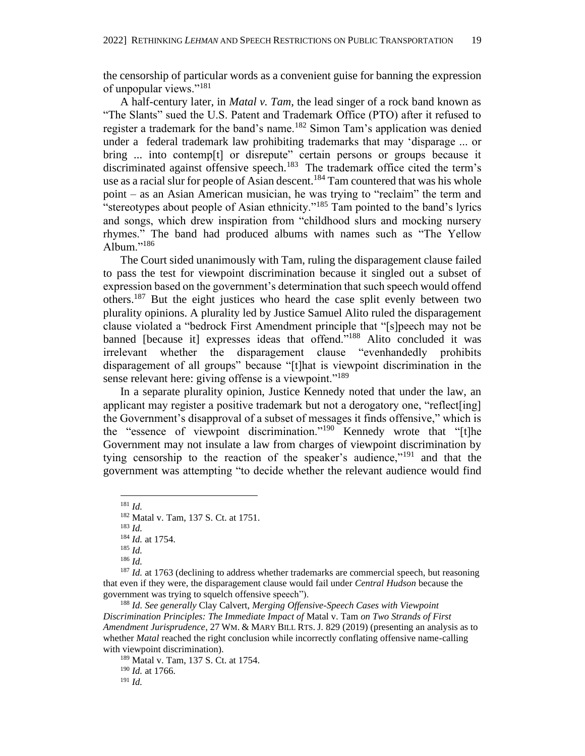the censorship of particular words as a convenient guise for banning the expression of unpopular views."<sup>181</sup>

A half-century later, in *Matal v. Tam*, the lead singer of a rock band known as "The Slants" sued the U.S. Patent and Trademark Office (PTO) after it refused to register a trademark for the band's name.<sup>182</sup> Simon Tam's application was denied under a federal trademark law prohibiting trademarks that may 'disparage ... or bring ... into contemp<sup>[t]</sup> or disrepute" certain persons or groups because it discriminated against offensive speech.<sup>183</sup> The trademark office cited the term's use as a racial slur for people of Asian descent.<sup>184</sup> Tam countered that was his whole point – as an Asian American musician, he was trying to "reclaim" the term and "stereotypes about people of Asian ethnicity."<sup>185</sup> Tam pointed to the band's lyrics and songs, which drew inspiration from "childhood slurs and mocking nursery rhymes." The band had produced albums with names such as "The Yellow Album." $186$ 

The Court sided unanimously with Tam, ruling the disparagement clause failed to pass the test for viewpoint discrimination because it singled out a subset of expression based on the government's determination that such speech would offend others.<sup>187</sup> But the eight justices who heard the case split evenly between two plurality opinions. A plurality led by Justice Samuel Alito ruled the disparagement clause violated a "bedrock First Amendment principle that "[s]peech may not be banned [because it] expresses ideas that offend."<sup>188</sup> Alito concluded it was irrelevant whether the disparagement clause "evenhandedly prohibits disparagement of all groups" because "[t]hat is viewpoint discrimination in the sense relevant here: giving offense is a viewpoint."<sup>189</sup>

In a separate plurality opinion, Justice Kennedy noted that under the law, an applicant may register a positive trademark but not a derogatory one, "reflect[ing] the Government's disapproval of a subset of messages it finds offensive," which is the "essence of viewpoint discrimination."<sup>190</sup> Kennedy wrote that "[t]he Government may not insulate a law from charges of viewpoint discrimination by tying censorship to the reaction of the speaker's audience,"<sup>191</sup> and that the government was attempting "to decide whether the relevant audience would find

<sup>189</sup> Matal v. Tam, 137 S. Ct. at 1754. <sup>190</sup> *Id.* at 1766. <sup>191</sup> *Id.*

<sup>181</sup> *Id.*

<sup>182</sup> Matal v. Tam, 137 S. Ct. at 1751.

<sup>183</sup> *Id.*

<sup>184</sup> *Id.* at 1754.

<sup>185</sup> *Id.*

<sup>186</sup> *Id.*

<sup>&</sup>lt;sup>187</sup> *Id.* at 1763 (declining to address whether trademarks are commercial speech, but reasoning that even if they were, the disparagement clause would fail under *Central Hudson* because the government was trying to squelch offensive speech").

<sup>188</sup> *Id. See generally* Clay Calvert, *Merging Offensive-Speech Cases with Viewpoint Discrimination Principles: The Immediate Impact of* Matal v. Tam *on Two Strands of First Amendment Jurisprudence*, 27 WM. & MARY BILL RTS. J. 829 (2019) (presenting an analysis as to whether *Matal* reached the right conclusion while incorrectly conflating offensive name-calling with viewpoint discrimination).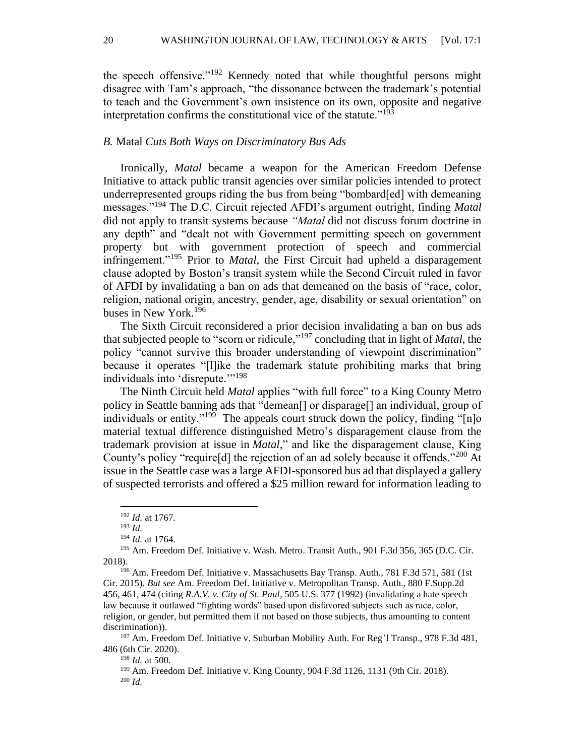the speech offensive."<sup>192</sup> Kennedy noted that while thoughtful persons might disagree with Tam's approach, "the dissonance between the trademark's potential to teach and the Government's own insistence on its own, opposite and negative interpretation confirms the constitutional vice of the statute."<sup>193</sup>

#### *B.* Matal *Cuts Both Ways on Discriminatory Bus Ads*

Ironically, *Matal* became a weapon for the American Freedom Defense Initiative to attack public transit agencies over similar policies intended to protect underrepresented groups riding the bus from being "bombard[ed] with demeaning messages."<sup>194</sup> The D.C. Circuit rejected AFDI's argument outright, finding *Matal* did not apply to transit systems because *"Matal* did not discuss forum doctrine in any depth" and "dealt not with Government permitting speech on government property but with government protection of speech and commercial infringement."<sup>195</sup> Prior to *Matal*, the First Circuit had upheld a disparagement clause adopted by Boston's transit system while the Second Circuit ruled in favor of AFDI by invalidating a ban on ads that demeaned on the basis of "race, color, religion, national origin, ancestry, gender, age, disability or sexual orientation" on buses in New York.<sup>196</sup>

The Sixth Circuit reconsidered a prior decision invalidating a ban on bus ads that subjected people to "scorn or ridicule,"<sup>197</sup> concluding that in light of *Matal*, the policy "cannot survive this broader understanding of viewpoint discrimination" because it operates "[l]ike the trademark statute prohibiting marks that bring individuals into 'disrepute."<sup>198</sup>

The Ninth Circuit held *Matal* applies "with full force" to a King County Metro policy in Seattle banning ads that "demean<sup>[]</sup> or disparage<sup>[]</sup> an individual, group of individuals or entity."<sup>199</sup> The appeals court struck down the policy, finding "[n]o material textual difference distinguished Metro's disparagement clause from the trademark provision at issue in *Matal,*" and like the disparagement clause, King County's policy "require[d] the rejection of an ad solely because it offends."<sup>200</sup> At issue in the Seattle case was a large AFDI-sponsored bus ad that displayed a gallery of suspected terrorists and offered a \$25 million reward for information leading to

<sup>197</sup> Am. Freedom Def. Initiative v. Suburban Mobility Auth. For Reg'l Transp., 978 F.3d 481, 486 (6th Cir. 2020).

<sup>198</sup> *Id.* at 500.

<sup>199</sup> Am. Freedom Def. Initiative v. King County, 904 F.3d 1126, 1131 (9th Cir. 2018). <sup>200</sup> *Id.*

<sup>192</sup> *Id.* at 1767.

<sup>193</sup> *Id.*

<sup>194</sup> *Id.* at 1764.

<sup>195</sup> Am. Freedom Def. Initiative v. Wash. Metro. Transit Auth., 901 F.3d 356, 365 (D.C. Cir. 2018).

<sup>196</sup> Am. Freedom Def. Initiative v. Massachusetts Bay Transp. Auth., 781 F.3d 571, 581 (1st Cir. 2015). *But see* Am. Freedom Def. Initiative v. Metropolitan Transp. Auth., 880 F.Supp.2d 456, 461, 474 (citing *R.A.V. v. City of St. Paul*, 505 U.S. 377 (1992) (invalidating a hate speech law because it outlawed "fighting words" based upon disfavored subjects such as race, color, religion, or gender, but permitted them if not based on those subjects, thus amounting to content discrimination)).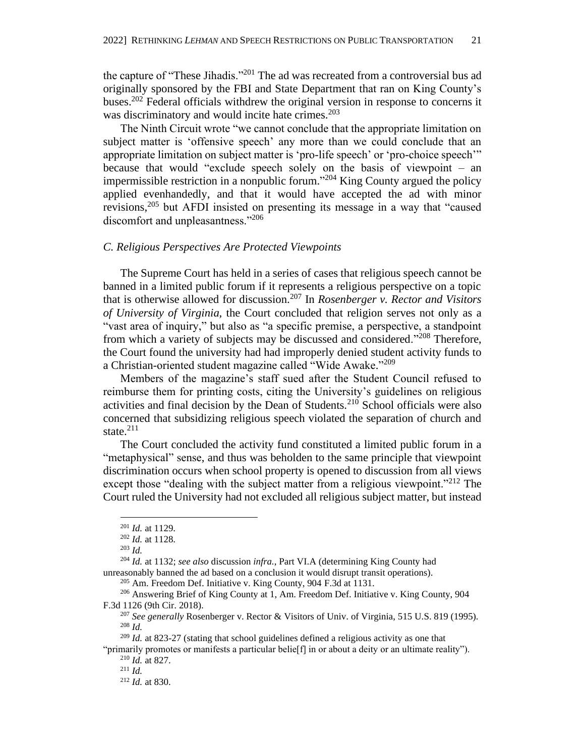the capture of "These Jihadis."<sup>201</sup> The ad was recreated from a controversial bus ad originally sponsored by the FBI and State Department that ran on King County's buses.<sup>202</sup> Federal officials withdrew the original version in response to concerns it was discriminatory and would incite hate crimes. 203

The Ninth Circuit wrote "we cannot conclude that the appropriate limitation on subject matter is 'offensive speech' any more than we could conclude that an appropriate limitation on subject matter is 'pro-life speech' or 'pro-choice speech'" because that would "exclude speech solely on the basis of viewpoint – an impermissible restriction in a nonpublic forum." <sup>204</sup> King County argued the policy applied evenhandedly, and that it would have accepted the ad with minor revisions,<sup>205</sup> but AFDI insisted on presenting its message in a way that "caused discomfort and unpleasantness."<sup>206</sup>

# *C. Religious Perspectives Are Protected Viewpoints*

The Supreme Court has held in a series of cases that religious speech cannot be banned in a limited public forum if it represents a religious perspective on a topic that is otherwise allowed for discussion.<sup>207</sup> In *Rosenberger v. Rector and Visitors of University of Virginia,* the Court concluded that religion serves not only as a "vast area of inquiry," but also as "a specific premise, a perspective, a standpoint from which a variety of subjects may be discussed and considered."<sup>208</sup> Therefore, the Court found the university had had improperly denied student activity funds to a Christian-oriented student magazine called "Wide Awake."<sup>209</sup>

Members of the magazine's staff sued after the Student Council refused to reimburse them for printing costs, citing the University's guidelines on religious activities and final decision by the Dean of Students.<sup>210</sup> School officials were also concerned that subsidizing religious speech violated the separation of church and state. $^{211}$ 

The Court concluded the activity fund constituted a limited public forum in a "metaphysical" sense, and thus was beholden to the same principle that viewpoint discrimination occurs when school property is opened to discussion from all views except those "dealing with the subject matter from a religious viewpoint."<sup>212</sup> The Court ruled the University had not excluded all religious subject matter, but instead

<sup>204</sup> *Id.* at 1132; *see also* discussion *infra.*, Part VI.A (determining King County had unreasonably banned the ad based on a conclusion it would disrupt transit operations).

"primarily promotes or manifests a particular belie<sup>[f]</sup> in or about a deity or an ultimate reality"). <sup>210</sup> *Id.* at 827.

<sup>201</sup> *Id.* at 1129.

<sup>202</sup> *Id.* at 1128.

<sup>203</sup> *Id.*

 $205$  Am. Freedom Def. Initiative v. King County, 904 F.3d at 1131.

<sup>206</sup> Answering Brief of King County at 1, Am. Freedom Def. Initiative v. King County, 904 F.3d 1126 (9th Cir. 2018).

<sup>207</sup> *See generally* Rosenberger v. Rector & Visitors of Univ. of Virginia, 515 U.S. 819 (1995). <sup>208</sup> *Id.*

<sup>209</sup> *Id.* at 823-27 (stating that school guidelines defined a religious activity as one that

<sup>211</sup> *Id.*

<sup>212</sup> *Id.* at 830.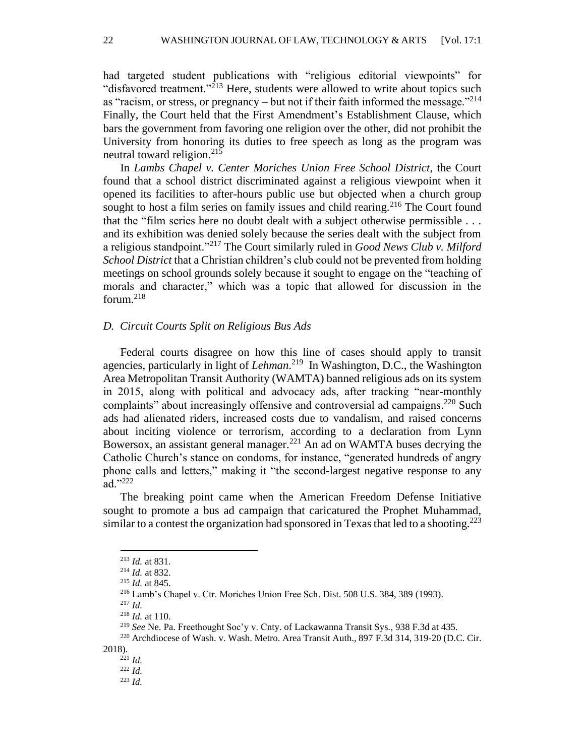had targeted student publications with "religious editorial viewpoints" for "disfavored treatment."<sup>213</sup> Here, students were allowed to write about topics such as "racism, or stress, or pregnancy – but not if their faith informed the message."<sup>214</sup> Finally, the Court held that the First Amendment's Establishment Clause, which bars the government from favoring one religion over the other, did not prohibit the University from honoring its duties to free speech as long as the program was neutral toward religion.<sup>215</sup>

In *Lambs Chapel v. Center Moriches Union Free School District*, the Court found that a school district discriminated against a religious viewpoint when it opened its facilities to after-hours public use but objected when a church group sought to host a film series on family issues and child rearing.<sup>216</sup> The Court found that the "film series here no doubt dealt with a subject otherwise permissible . . . and its exhibition was denied solely because the series dealt with the subject from a religious standpoint."<sup>217</sup> The Court similarly ruled in *Good News Club v. Milford School District* that a Christian children's club could not be prevented from holding meetings on school grounds solely because it sought to engage on the "teaching of morals and character," which was a topic that allowed for discussion in the forum.<sup>218</sup>

# *D. Circuit Courts Split on Religious Bus Ads*

Federal courts disagree on how this line of cases should apply to transit agencies, particularly in light of *Lehman*. 219 In Washington, D.C., the Washington Area Metropolitan Transit Authority (WAMTA) banned religious ads on its system in 2015, along with political and advocacy ads, after tracking "near-monthly complaints" about increasingly offensive and controversial ad campaigns.<sup>220</sup> Such ads had alienated riders, increased costs due to vandalism, and raised concerns about inciting violence or terrorism, according to a declaration from Lynn Bowersox, an assistant general manager.<sup>221</sup> An ad on WAMTA buses decrying the Catholic Church's stance on condoms, for instance, "generated hundreds of angry phone calls and letters," making it "the second-largest negative response to any ad."222

The breaking point came when the American Freedom Defense Initiative sought to promote a bus ad campaign that caricatured the Prophet Muhammad, similar to a contest the organization had sponsored in Texas that led to a shooting.<sup>223</sup>

2018).

<sup>213</sup> *Id.* at 831.

<sup>214</sup> *Id.* at 832.

<sup>215</sup> *Id.* at 845.

<sup>216</sup> Lamb's Chapel v. Ctr. Moriches Union Free Sch. Dist. 508 U.S. 384, 389 (1993).

<sup>217</sup> *Id.*

<sup>218</sup> *Id.* at 110.

<sup>219</sup> *See* Ne. Pa. Freethought Soc'y v. Cnty. of Lackawanna Transit Sys*.,* 938 F.3d at 435*.*

<sup>220</sup> Archdiocese of Wash. v. Wash. Metro. Area Transit Auth., 897 F.3d 314, 319-20 (D.C. Cir.

<sup>221</sup> *Id.* <sup>222</sup> *Id.*

<sup>223</sup> *Id.*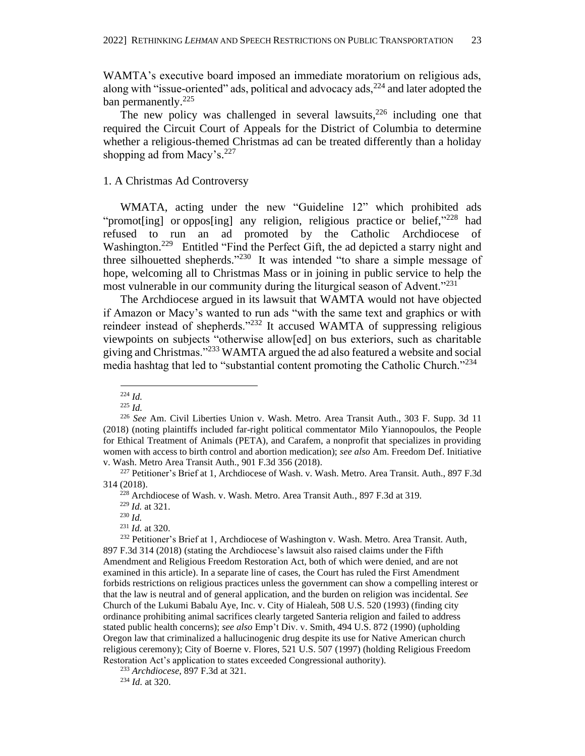WAMTA's executive board imposed an immediate moratorium on religious ads, along with "issue-oriented" ads, political and advocacy ads,  $224$  and later adopted the ban permanently.<sup>225</sup>

The new policy was challenged in several lawsuits, $226$  including one that required the Circuit Court of Appeals for the District of Columbia to determine whether a religious-themed Christmas ad can be treated differently than a holiday shopping ad from Macy's.<sup>227</sup>

# 1. A Christmas Ad Controversy

WMATA, acting under the new "Guideline 12" which prohibited ads "promot[ing] or oppos[ing] any religion, religious practice or belief," $^{228}$  had refused to run an ad promoted by the Catholic Archdiocese of Washington.<sup>229</sup> Entitled "Find the Perfect Gift, the ad depicted a starry night and three silhouetted shepherds."<sup>230</sup> It was intended "to share a simple message of hope, welcoming all to Christmas Mass or in joining in public service to help the most vulnerable in our community during the liturgical season of Advent."<sup>231</sup>

The Archdiocese argued in its lawsuit that WAMTA would not have objected if Amazon or Macy's wanted to run ads "with the same text and graphics or with reindeer instead of shepherds."<sup>232</sup> It accused WAMTA of suppressing religious viewpoints on subjects "otherwise allow[ed] on bus exteriors, such as charitable giving and Christmas."<sup>233</sup> WAMTA argued the ad also featured a website and social media hashtag that led to "substantial content promoting the Catholic Church."<sup>234</sup>

<sup>231</sup> *Id.* at 320.

<sup>232</sup> Petitioner's Brief at 1, Archdiocese of Washington v. Wash. Metro. Area Transit. Auth, 897 F.3d 314 (2018) (stating the Archdiocese's lawsuit also raised claims under the Fifth Amendment and Religious Freedom Restoration Act, both of which were denied, and are not examined in this article). In a separate line of cases, the Court has ruled the First Amendment forbids restrictions on religious practices unless the government can show a compelling interest or that the law is neutral and of general application, and the burden on religion was incidental. *See* Church of the Lukumi Babalu Aye, Inc. v. City of Hialeah, 508 U.S. 520 (1993) (finding city ordinance prohibiting animal sacrifices clearly targeted Santeria religion and failed to address stated public health concerns); *see also* Emp't Div. v. Smith, 494 U.S. 872 (1990) (upholding Oregon law that criminalized a hallucinogenic drug despite its use for Native American church religious ceremony); City of Boerne v. Flores, 521 U.S. 507 (1997) (holding Religious Freedom Restoration Act's application to states exceeded Congressional authority).

<sup>233</sup> *Archdiocese*, 897 F.3d at 321.

<sup>234</sup> *Id.* at 320.

<sup>224</sup> *Id.*

<sup>225</sup> *Id.*

<sup>226</sup> *See* Am. Civil Liberties Union v. Wash. Metro. Area Transit Auth., 303 F. Supp. 3d 11 (2018) (noting plaintiffs included far-right political commentator Milo Yiannopoulos, the People for Ethical Treatment of Animals (PETA), and Carafem, a nonprofit that specializes in providing women with access to birth control and abortion medication); *see also* Am. Freedom Def. Initiative v. Wash. Metro Area Transit Auth., 901 F.3d 356 (2018).

<sup>&</sup>lt;sup>227</sup> Petitioner's Brief at 1, Archdiocese of Wash. v. Wash. Metro. Area Transit. Auth., 897 F.3d 314 (2018).

<sup>228</sup> Archdiocese of Wash. v. Wash. Metro. Area Transit Auth., 897 F.3d at 319.

<sup>229</sup> *Id.* at 321.

 $^{230}$  *Id.*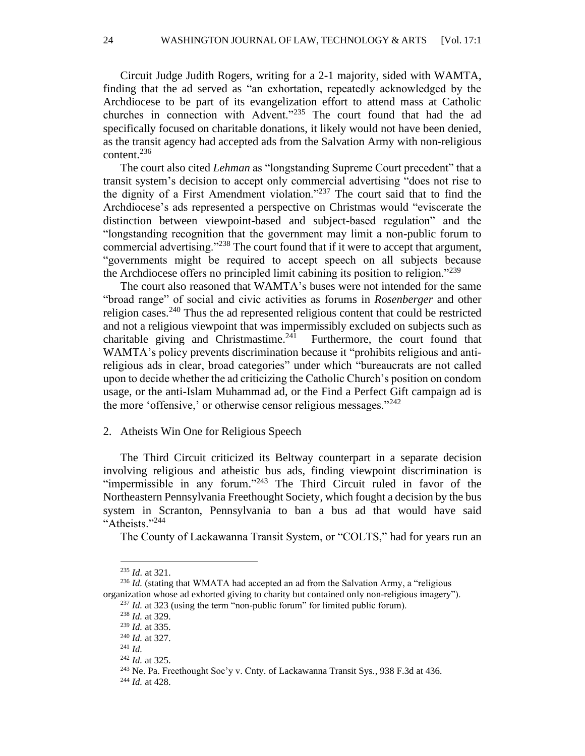24 WASHINGTON JOURNAL OF LAW, TECHNOLOGY & ARTS [Vol. 17:1

Circuit Judge Judith Rogers, writing for a 2-1 majority, sided with WAMTA, finding that the ad served as "an exhortation, repeatedly acknowledged by the Archdiocese to be part of its evangelization effort to attend mass at Catholic churches in connection with Advent."<sup>235</sup> The court found that had the ad specifically focused on charitable donations, it likely would not have been denied, as the transit agency had accepted ads from the Salvation Army with non-religious content. 236

The court also cited *Lehman* as "longstanding Supreme Court precedent" that a transit system's decision to accept only commercial advertising "does not rise to the dignity of a First Amendment violation."<sup>237</sup> The court said that to find the Archdiocese's ads represented a perspective on Christmas would "eviscerate the distinction between viewpoint-based and subject-based regulation" and the "longstanding recognition that the government may limit a non-public forum to commercial advertising."<sup>238</sup> The court found that if it were to accept that argument, "governments might be required to accept speech on all subjects because the Archdiocese offers no principled limit cabining its position to religion."<sup>239</sup>

The court also reasoned that WAMTA's buses were not intended for the same "broad range" of social and civic activities as forums in *Rosenberger* and other religion cases.<sup>240</sup> Thus the ad represented religious content that could be restricted and not a religious viewpoint that was impermissibly excluded on subjects such as charitable giving and Christmastime. $241$  Furthermore, the court found that WAMTA's policy prevents discrimination because it "prohibits religious and antireligious ads in clear, broad categories" under which "bureaucrats are not called upon to decide whether the ad criticizing the Catholic Church's position on condom usage, or the anti-Islam Muhammad ad, or the Find a Perfect Gift campaign ad is the more 'offensive,' or otherwise censor religious messages. $"^{242}$ 

#### 2. Atheists Win One for Religious Speech

The Third Circuit criticized its Beltway counterpart in a separate decision involving religious and atheistic bus ads, finding viewpoint discrimination is "impermissible in any forum."<sup>243</sup> The Third Circuit ruled in favor of the Northeastern Pennsylvania Freethought Society, which fought a decision by the bus system in Scranton, Pennsylvania to ban a bus ad that would have said "Atheists."<sup>244</sup>

The County of Lackawanna Transit System, or "COLTS," had for years run an

<sup>235</sup> *Id.* at 321.

<sup>&</sup>lt;sup>236</sup> *Id.* (stating that WMATA had accepted an ad from the Salvation Army, a "religious" organization whose ad exhorted giving to charity but contained only non-religious imagery").

<sup>&</sup>lt;sup>237</sup> *Id.* at 323 (using the term "non-public forum" for limited public forum).

<sup>238</sup> *Id.* at 329.

<sup>239</sup> *Id.* at 335.

<sup>240</sup> *Id.* at 327.

<sup>241</sup> *Id.*

<sup>242</sup> *Id.* at 325.

<sup>243</sup> Ne. Pa. Freethought Soc'y v. Cnty. of Lackawanna Transit Sys*.*, 938 F.3d at 436*.*

<sup>244</sup> *Id.* at 428.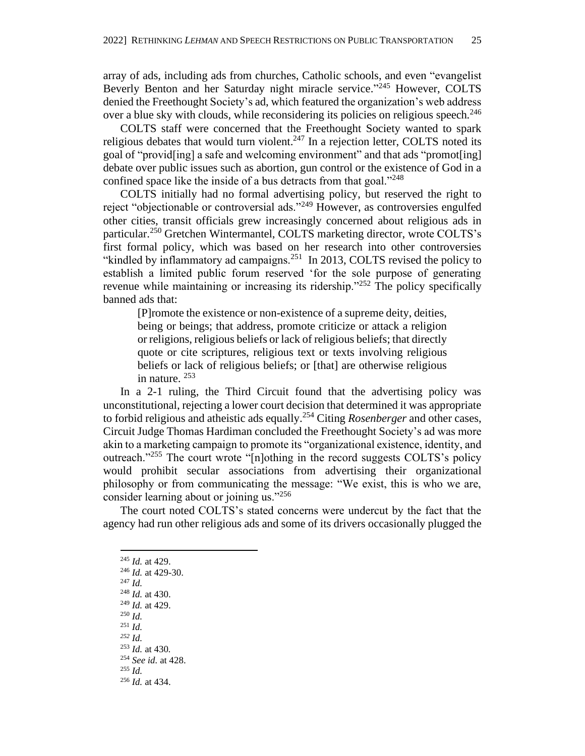array of ads, including ads from churches, Catholic schools, and even "evangelist Beverly Benton and her Saturday night miracle service."<sup>245</sup> However, COLTS denied the Freethought Society's ad, which featured the organization's web address over a blue sky with clouds, while reconsidering its policies on religious speech.<sup>246</sup>

COLTS staff were concerned that the Freethought Society wanted to spark religious debates that would turn violent. $247$  In a rejection letter, COLTS noted its goal of "provid[ing] a safe and welcoming environment" and that ads "promot[ing] debate over public issues such as abortion, gun control or the existence of God in a confined space like the inside of a bus detracts from that goal."<sup>248</sup>

COLTS initially had no formal advertising policy, but reserved the right to reject "objectionable or controversial ads."<sup>249</sup> However, as controversies engulfed other cities, transit officials grew increasingly concerned about religious ads in particular. <sup>250</sup> Gretchen Wintermantel, COLTS marketing director, wrote COLTS's first formal policy, which was based on her research into other controversies "kindled by inflammatory ad campaigns. $251$  In 2013, COLTS revised the policy to establish a limited public forum reserved 'for the sole purpose of generating revenue while maintaining or increasing its ridership."<sup>252</sup> The policy specifically banned ads that:

[P]romote the existence or non-existence of a supreme deity, deities, being or beings; that address, promote criticize or attack a religion or religions, religious beliefs or lack of religious beliefs; that directly quote or cite scriptures, religious text or texts involving religious beliefs or lack of religious beliefs; or [that] are otherwise religious in nature. <sup>253</sup>

In a 2-1 ruling, the Third Circuit found that the advertising policy was unconstitutional, rejecting a lower court decision that determined it was appropriate to forbid religious and atheistic ads equally.<sup>254</sup> Citing *Rosenberger* and other cases, Circuit Judge Thomas Hardiman concluded the Freethought Society's ad was more akin to a marketing campaign to promote its "organizational existence, identity, and outreach."<sup>255</sup> The court wrote "[n]othing in the record suggests COLTS's policy would prohibit secular associations from advertising their organizational philosophy or from communicating the message: "We exist, this is who we are, consider learning about or joining us."<sup>256</sup>

The court noted COLTS's stated concerns were undercut by the fact that the agency had run other religious ads and some of its drivers occasionally plugged the

- <sup>247</sup> *Id.*
- <sup>248</sup> *Id.* at 430.
- <sup>249</sup> *Id.* at 429.
- <sup>250</sup> *Id.* <sup>251</sup> *Id.*
- *<sup>252</sup> Id.*
- <sup>253</sup> *Id.* at 430*.*
- <sup>254</sup> *See id.* at 428.
- <sup>255</sup> *Id.*
- <sup>256</sup> *Id.* at 434.

<sup>245</sup> *Id.* at 429. <sup>246</sup> *Id.* at 429-30.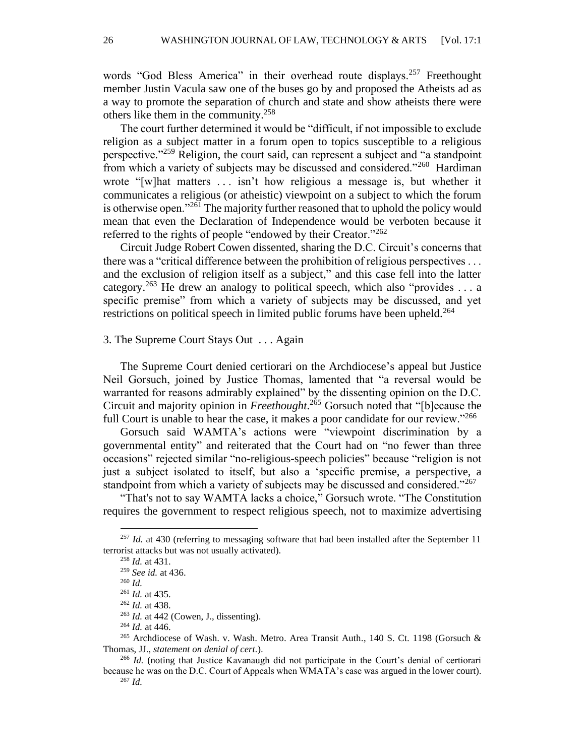words "God Bless America" in their overhead route displays.<sup>257</sup> Freethought member Justin Vacula saw one of the buses go by and proposed the Atheists ad as a way to promote the separation of church and state and show atheists there were others like them in the community.<sup>258</sup>

The court further determined it would be "difficult, if not impossible to exclude religion as a subject matter in a forum open to topics susceptible to a religious perspective."<sup>259</sup> Religion, the court said, can represent a subject and "a standpoint" from which a variety of subjects may be discussed and considered."<sup>260</sup> Hardiman wrote "[w]hat matters . . . isn't how religious a message is, but whether it communicates a religious (or atheistic) viewpoint on a subject to which the forum is otherwise open."<sup>261</sup> The majority further reasoned that to uphold the policy would mean that even the Declaration of Independence would be verboten because it referred to the rights of people "endowed by their Creator."<sup>262</sup>

Circuit Judge Robert Cowen dissented, sharing the D.C. Circuit's concerns that there was a "critical difference between the prohibition of religious perspectives . . . and the exclusion of religion itself as a subject," and this case fell into the latter category.<sup>263</sup> He drew an analogy to political speech, which also "provides ... a specific premise" from which a variety of subjects may be discussed, and yet restrictions on political speech in limited public forums have been upheld.<sup>264</sup>

#### 3. The Supreme Court Stays Out . . . Again

The Supreme Court denied certiorari on the Archdiocese's appeal but Justice Neil Gorsuch, joined by Justice Thomas, lamented that "a reversal would be warranted for reasons admirably explained" by the dissenting opinion on the D.C. Circuit and majority opinion in *Freethought*. <sup>265</sup> Gorsuch noted that "[b]ecause the full Court is unable to hear the case, it makes a poor candidate for our review."<sup>266</sup>

Gorsuch said WAMTA's actions were "viewpoint discrimination by a governmental entity" and reiterated that the Court had on "no fewer than three occasions" rejected similar "no-religious-speech policies" because "religion is not just a subject isolated to itself, but also a 'specific premise, a perspective, a standpoint from which a variety of subjects may be discussed and considered."<sup>267</sup>

"That's not to say WAMTA lacks a choice," Gorsuch wrote. "The Constitution requires the government to respect religious speech, not to maximize advertising

<sup>&</sup>lt;sup>257</sup> *Id.* at 430 (referring to messaging software that had been installed after the September 11 terrorist attacks but was not usually activated).

<sup>258</sup> *Id.* at 431.

<sup>259</sup> *See id.* at 436.

<sup>260</sup> *Id.*

<sup>261</sup> *Id.* at 435.

<sup>262</sup> *Id.* at 438.

<sup>263</sup> *Id.* at 442 (Cowen, J., dissenting).

<sup>264</sup> *Id.* at 446.

<sup>265</sup> Archdiocese of Wash. v. Wash. Metro. Area Transit Auth*.*, 140 S. Ct. 1198 (Gorsuch & Thomas, JJ., *statement on denial of cert.*).

<sup>266</sup> *Id.* (noting that Justice Kavanaugh did not participate in the Court's denial of certiorari because he was on the D.C. Court of Appeals when WMATA's case was argued in the lower court). <sup>267</sup> *Id.*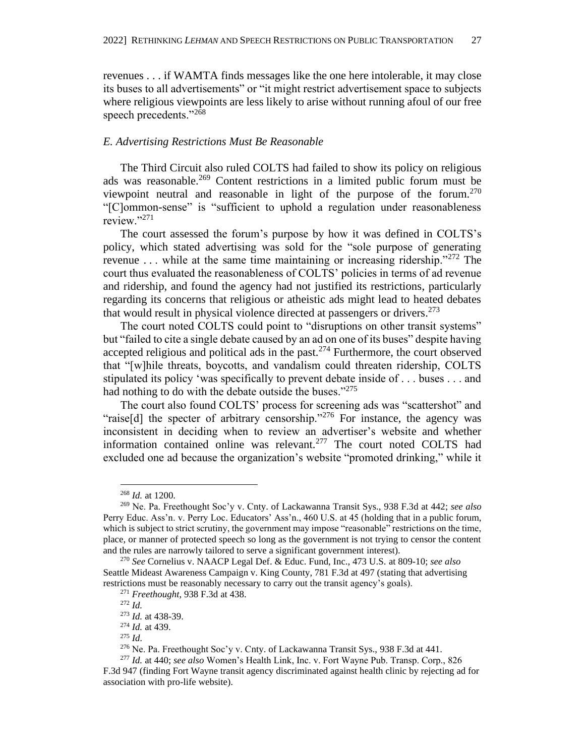revenues . . . if WAMTA finds messages like the one here intolerable, it may close its buses to all advertisements" or "it might restrict advertisement space to subjects where religious viewpoints are less likely to arise without running afoul of our free speech precedents."<sup>268</sup>

# *E. Advertising Restrictions Must Be Reasonable*

The Third Circuit also ruled COLTS had failed to show its policy on religious ads was reasonable.<sup>269</sup> Content restrictions in a limited public forum must be viewpoint neutral and reasonable in light of the purpose of the forum.<sup>270</sup> "[C]ommon-sense" is "sufficient to uphold a regulation under reasonableness review."<sup>271</sup>

The court assessed the forum's purpose by how it was defined in COLTS's policy, which stated advertising was sold for the "sole purpose of generating revenue  $\dots$  while at the same time maintaining or increasing ridership."<sup>272</sup> The court thus evaluated the reasonableness of COLTS' policies in terms of ad revenue and ridership, and found the agency had not justified its restrictions, particularly regarding its concerns that religious or atheistic ads might lead to heated debates that would result in physical violence directed at passengers or drivers.<sup>273</sup>

The court noted COLTS could point to "disruptions on other transit systems" but "failed to cite a single debate caused by an ad on one of its buses" despite having accepted religious and political ads in the past.<sup>274</sup> Furthermore, the court observed that "[w]hile threats, boycotts, and vandalism could threaten ridership, COLTS stipulated its policy 'was specifically to prevent debate inside of . . . buses . . . and had nothing to do with the debate outside the buses."<sup>275</sup>

The court also found COLTS' process for screening ads was "scattershot" and "raise[d] the specter of arbitrary censorship."<sup>276</sup> For instance, the agency was inconsistent in deciding when to review an advertiser's website and whether information contained online was relevant.<sup>277</sup> The court noted COLTS had excluded one ad because the organization's website "promoted drinking," while it

<sup>268</sup> *Id.* at 1200.

<sup>269</sup> Ne. Pa. Freethought Soc'y v. Cnty. of Lackawanna Transit Sys., 938 F.3d at 442; *see also*  Perry Educ. Ass'n. v. Perry Loc. Educators' Ass'n., 460 U.S. at 45 (holding that in a public forum, which is subject to strict scrutiny, the government may impose "reasonable" restrictions on the time, place, or manner of protected speech so long as the government is not trying to censor the content and the rules are narrowly tailored to serve a significant government interest).

<sup>270</sup> *See* Cornelius v. NAACP Legal Def. & Educ. Fund, Inc., 473 U.S. at 809-10; *see also* Seattle Mideast Awareness Campaign v. King County, 781 F.3d at 497 (stating that advertising restrictions must be reasonably necessary to carry out the transit agency's goals).

<sup>271</sup> *Freethought*, 938 F.3d at 438.

<sup>272</sup> *Id.*

<sup>273</sup> *Id.* at 438-39.

<sup>274</sup> *Id.* at 439.

<sup>275</sup> *Id.*

 $276$  Ne. Pa. Freethought Soc'y v. Cnty. of Lackawanna Transit Sys., 938 F.3d at 441.

<sup>277</sup> *Id.* at 440; *see also* Women's Health Link, Inc. v. Fort Wayne Pub. Transp. Corp., 826 F.3d 947 (finding Fort Wayne transit agency discriminated against health clinic by rejecting ad for association with pro-life website).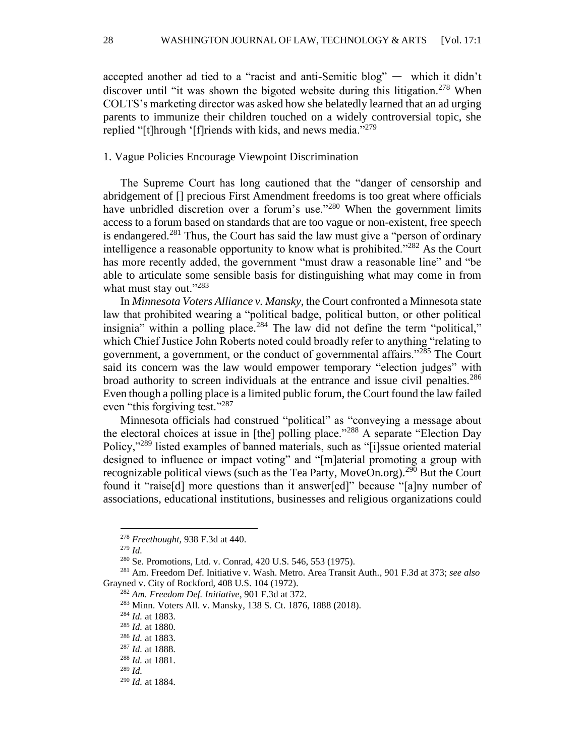accepted another ad tied to a "racist and anti-Semitic blog"  $-$  which it didn't discover until "it was shown the bigoted website during this litigation.<sup>278</sup> When COLTS's marketing director was asked how she belatedly learned that an ad urging parents to immunize their children touched on a widely controversial topic, she replied "[t]hrough '[f]riends with kids, and news media."<sup>279</sup>

# 1. Vague Policies Encourage Viewpoint Discrimination

The Supreme Court has long cautioned that the "danger of censorship and abridgement of [] precious First Amendment freedoms is too great where officials have unbridled discretion over a forum's use."<sup>280</sup> When the government limits access to a forum based on standards that are too vague or non-existent, free speech is endangered.<sup>281</sup> Thus, the Court has said the law must give a "person of ordinary" intelligence a reasonable opportunity to know what is prohibited."<sup>282</sup> As the Court has more recently added, the government "must draw a reasonable line" and "be able to articulate some sensible basis for distinguishing what may come in from what must stay out."<sup>283</sup>

In *Minnesota Voters Alliance v. Mansky*, the Court confronted a Minnesota state law that prohibited wearing a "political badge, political button, or other political insignia" within a polling place.<sup>284</sup> The law did not define the term "political," which Chief Justice John Roberts noted could broadly refer to anything "relating to government, a government, or the conduct of governmental affairs."<sup>285</sup> The Court said its concern was the law would empower temporary "election judges" with broad authority to screen individuals at the entrance and issue civil penalties.<sup>286</sup> Even though a polling place is a limited public forum, the Court found the law failed even "this forgiving test."<sup>287</sup>

Minnesota officials had construed "political" as "conveying a message about the electoral choices at issue in [the] polling place."<sup>288</sup> A separate "Election Day Policy,"<sup>289</sup> listed examples of banned materials, such as "[i]ssue oriented material designed to influence or impact voting" and "[m]aterial promoting a group with recognizable political views (such as the Tea Party, MoveOn.org).<sup>290</sup> But the Court found it "raise[d] more questions than it answer[ed]" because "[a]ny number of associations, educational institutions, businesses and religious organizations could

<sup>278</sup> *Freethought*, 938 F.3d at 440.

<sup>279</sup> *Id.*

<sup>280</sup> Se. Promotions, Ltd. v. Conrad, 420 U.S. 546, 553 (1975).

<sup>281</sup> Am. Freedom Def. Initiative v. Wash. Metro. Area Transit Auth., 901 F.3d at 373; *see also* Grayned v. City of Rockford, 408 U.S. 104 (1972).

<sup>282</sup> *Am. Freedom Def. Initiative*, 901 F.3d at 372.

<sup>283</sup> Minn. Voters All. v. Mansky, 138 S. Ct. 1876, 1888 (2018).

<sup>284</sup> *Id.* at 1883.

<sup>285</sup> *Id.* at 1880.

<sup>286</sup> *Id.* at 1883.

<sup>287</sup> *Id.* at 1888.

<sup>288</sup> *Id.* at 1881.

<sup>289</sup> *Id.*

<sup>290</sup> *Id.* at 1884.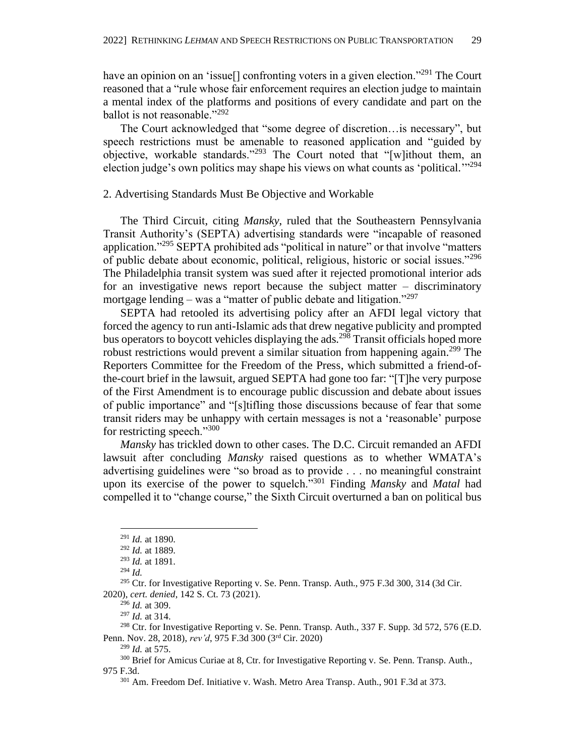have an opinion on an 'issue<sup>[]</sup> confronting voters in a given election."<sup>291</sup> The Court reasoned that a "rule whose fair enforcement requires an election judge to maintain a mental index of the platforms and positions of every candidate and part on the ballot is not reasonable."<sup>292</sup>

The Court acknowledged that "some degree of discretion…is necessary", but speech restrictions must be amenable to reasoned application and "guided by objective, workable standards."<sup>293</sup> The Court noted that "[w]ithout them, an election judge's own politics may shape his views on what counts as 'political."<sup>294</sup>

2. Advertising Standards Must Be Objective and Workable

The Third Circuit, citing *Mansky*, ruled that the Southeastern Pennsylvania Transit Authority's (SEPTA) advertising standards were "incapable of reasoned application."<sup>295</sup> SEPTA prohibited ads "political in nature" or that involve "matters of public debate about economic, political, religious, historic or social issues."<sup>296</sup> The Philadelphia transit system was sued after it rejected promotional interior ads for an investigative news report because the subject matter – discriminatory mortgage lending – was a "matter of public debate and litigation."<sup>297</sup>

SEPTA had retooled its advertising policy after an AFDI legal victory that forced the agency to run anti-Islamic ads that drew negative publicity and prompted bus operators to boycott vehicles displaying the ads.<sup>298</sup> Transit officials hoped more robust restrictions would prevent a similar situation from happening again.<sup>299</sup> The Reporters Committee for the Freedom of the Press, which submitted a friend-ofthe-court brief in the lawsuit, argued SEPTA had gone too far: "[T]he very purpose of the First Amendment is to encourage public discussion and debate about issues of public importance" and "[s]tifling those discussions because of fear that some transit riders may be unhappy with certain messages is not a 'reasonable' purpose for restricting speech." $300$ 

*Mansky* has trickled down to other cases. The D.C. Circuit remanded an AFDI lawsuit after concluding *Mansky* raised questions as to whether WMATA's advertising guidelines were "so broad as to provide . . . no meaningful constraint upon its exercise of the power to squelch."<sup>301</sup> Finding *Mansky* and *Matal* had compelled it to "change course," the Sixth Circuit overturned a ban on political bus

<sup>291</sup> *Id.* at 1890.

<sup>292</sup> *Id.* at 1889.

<sup>293</sup> *Id.* at 1891.

<sup>294</sup> *Id.*

<sup>&</sup>lt;sup>295</sup> Ctr. for Investigative Reporting v. Se. Penn. Transp. Auth., 975 F.3d 300, 314 (3d Cir. 2020), *cert. denied*, 142 S. Ct. 73 (2021).

<sup>296</sup> *Id.* at 309.

<sup>297</sup> *Id.* at 314.

<sup>&</sup>lt;sup>298</sup> Ctr. for Investigative Reporting v. Se. Penn. Transp. Auth., 337 F. Supp. 3d 572, 576 (E.D. Penn. Nov. 28, 2018), *rev'd*, 975 F.3d 300 (3rd Cir. 2020)

<sup>299</sup> *Id.* at 575.

<sup>300</sup> Brief for Amicus Curiae at 8, Ctr. for Investigative Reporting v. Se. Penn. Transp. Auth., 975 F.3d.

<sup>301</sup> Am. Freedom Def. Initiative v. Wash. Metro Area Transp. Auth., 901 F.3d at 373.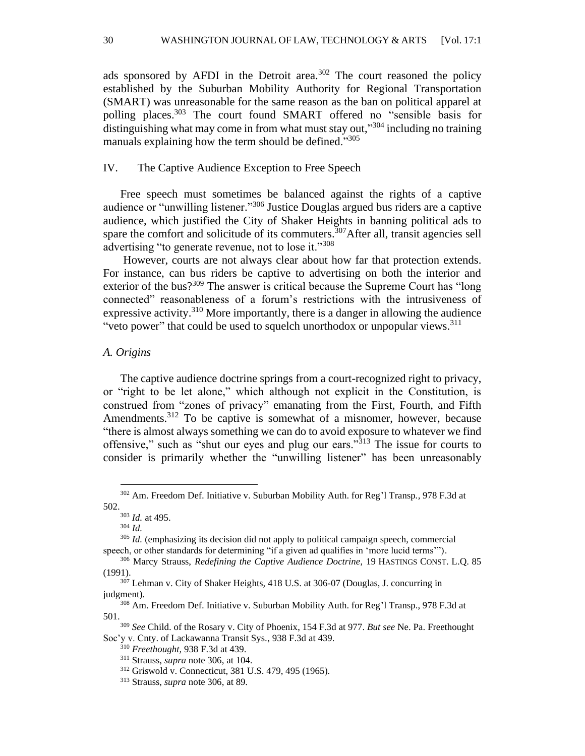ads sponsored by AFDI in the Detroit area.<sup>302</sup> The court reasoned the policy established by the Suburban Mobility Authority for Regional Transportation (SMART) was unreasonable for the same reason as the ban on political apparel at polling places. <sup>303</sup> The court found SMART offered no "sensible basis for distinguishing what may come in from what must stay out," <sup>304</sup> including no training manuals explaining how the term should be defined."305

# IV. The Captive Audience Exception to Free Speech

Free speech must sometimes be balanced against the rights of a captive audience or "unwilling listener."<sup>306</sup> Justice Douglas argued bus riders are a captive audience, which justified the City of Shaker Heights in banning political ads to spare the comfort and solicitude of its commuters.<sup>307</sup>After all, transit agencies sell advertising "to generate revenue, not to lose it."<sup>308</sup>

However, courts are not always clear about how far that protection extends. For instance, can bus riders be captive to advertising on both the interior and exterior of the bus? $309$  The answer is critical because the Supreme Court has "long" connected" reasonableness of a forum's restrictions with the intrusiveness of expressive activity.<sup>310</sup> More importantly, there is a danger in allowing the audience "veto power" that could be used to squelch unorthodox or unpopular views.<sup>311</sup>

## *A. Origins*

The captive audience doctrine springs from a court-recognized right to privacy, or "right to be let alone," which although not explicit in the Constitution, is construed from "zones of privacy" emanating from the First, Fourth, and Fifth Amendments.<sup>312</sup> To be captive is somewhat of a misnomer, however, because "there is almost always something we can do to avoid exposure to whatever we find offensive," such as "shut our eyes and plug our ears."<sup>313</sup> The issue for courts to consider is primarily whether the "unwilling listener" has been unreasonably

<sup>302</sup> Am. Freedom Def. Initiative v. Suburban Mobility Auth. for Reg'l Transp*.,* 978 F.3d at 502.

<sup>303</sup> *Id.* at 495.

<sup>304</sup> *Id.*

<sup>&</sup>lt;sup>305</sup> *Id.* (emphasizing its decision did not apply to political campaign speech, commercial speech, or other standards for determining "if a given ad qualifies in 'more lucid terms'").

<sup>306</sup> Marcy Strauss, *Redefining the Captive Audience Doctrine*, 19 HASTINGS CONST. L.Q. 85 (1991).

<sup>307</sup> Lehman v. City of Shaker Heights*,* 418 U.S. at 306-07 (Douglas, J. concurring in judgment).

<sup>308</sup> Am. Freedom Def. Initiative v. Suburban Mobility Auth. for Reg'l Transp., 978 F.3d at 501.

<sup>309</sup> *See* Child. of the Rosary v. City of Phoenix, 154 F.3d at 977. *But see* Ne. Pa. Freethought Soc'y v. Cnty. of Lackawanna Transit Sys., 938 F.3d at 439.

<sup>310</sup> *Freethought,* 938 F.3d at 439.

<sup>311</sup> Strauss, *supra* note 306, at 104.

<sup>312</sup> Griswold v. Connecticut, 381 U.S. 479, 495 (1965).

<sup>313</sup> Strauss, *supra* note 306, at 89.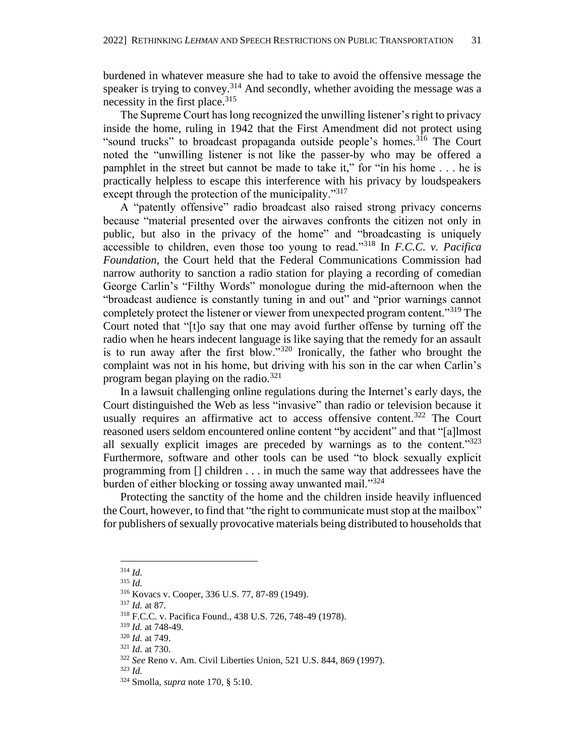burdened in whatever measure she had to take to avoid the offensive message the speaker is trying to convey.<sup>314</sup> And secondly, whether avoiding the message was a necessity in the first place.<sup>315</sup>

The Supreme Court has long recognized the unwilling listener's right to privacy inside the home, ruling in 1942 that the First Amendment did not protect using "sound trucks" to broadcast propaganda outside people's homes.<sup>316</sup> The Court noted the "unwilling listener is not like the passer-by who may be offered a pamphlet in the street but cannot be made to take it," for "in his home . . . he is practically helpless to escape this interference with his privacy by loudspeakers except through the protection of the municipality."<sup>317</sup>

A "patently offensive" radio broadcast also raised strong privacy concerns because "material presented over the airwaves confronts the citizen not only in public, but also in the privacy of the home" and "broadcasting is uniquely accessible to children, even those too young to read."<sup>318</sup> In *F.C.C. v. Pacifica Foundation*, the Court held that the Federal Communications Commission had narrow authority to sanction a radio station for playing a recording of comedian George Carlin's "Filthy Words" monologue during the mid-afternoon when the "broadcast audience is constantly tuning in and out" and "prior warnings cannot completely protect the listener or viewer from unexpected program content."<sup>319</sup> The Court noted that "[t]o say that one may avoid further offense by turning off the radio when he hears indecent language is like saying that the remedy for an assault is to run away after the first blow." $320$  Ironically, the father who brought the complaint was not in his home, but driving with his son in the car when Carlin's program began playing on the radio.<sup>321</sup>

In a lawsuit challenging online regulations during the Internet's early days, the Court distinguished the Web as less "invasive" than radio or television because it usually requires an affirmative act to access offensive content.<sup>322</sup> The Court reasoned users seldom encountered online content "by accident" and that "[a]lmost all sexually explicit images are preceded by warnings as to the content." $323$ Furthermore, software and other tools can be used "to block sexually explicit programming from [] children . . . in much the same way that addressees have the burden of either blocking or tossing away unwanted mail."<sup>324</sup>

Protecting the sanctity of the home and the children inside heavily influenced the Court, however, to find that "the right to communicate must stop at the mailbox" for publishers of sexually provocative materials being distributed to households that

<sup>314</sup> *Id.*

<sup>315</sup> *Id.* 

<sup>316</sup> Kovacs v. Cooper, 336 U.S. 77, 87-89 (1949).

<sup>317</sup> *Id.* at 87.

<sup>318</sup> F.C.C. v. Pacifica Found., 438 U.S. 726, 748-49 (1978).

<sup>319</sup> *Id.* at 748-49.

<sup>320</sup> *Id.* at 749.

<sup>321</sup> *Id.* at 730.

<sup>322</sup> *See* Reno v. Am. Civil Liberties Union, 521 U.S. 844, 869 (1997).

<sup>323</sup> *Id.*

<sup>324</sup> Smolla, *supra* note 170, § 5:10.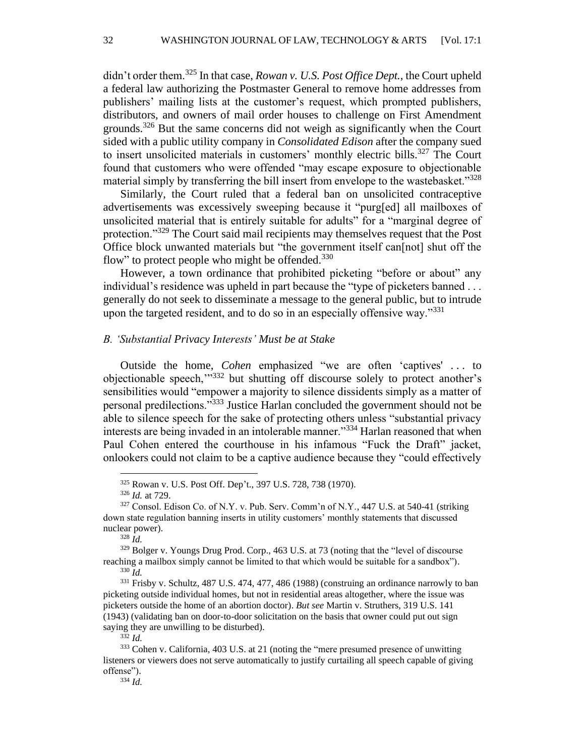didn't order them.<sup>325</sup> In that case, *Rowan v. U.S. Post Office Dept.*, the Court upheld a federal law authorizing the Postmaster General to remove home addresses from publishers' mailing lists at the customer's request, which prompted publishers, distributors, and owners of mail order houses to challenge on First Amendment grounds.<sup>326</sup> But the same concerns did not weigh as significantly when the Court sided with a public utility company in *Consolidated Edison* after the company sued to insert unsolicited materials in customers' monthly electric bills.<sup>327</sup> The Court found that customers who were offended "may escape exposure to objectionable material simply by transferring the bill insert from envelope to the wastebasket."<sup>328</sup>

Similarly, the Court ruled that a federal ban on unsolicited contraceptive advertisements was excessively sweeping because it "purg[ed] all mailboxes of unsolicited material that is entirely suitable for adults" for a "marginal degree of protection."<sup>329</sup> The Court said mail recipients may themselves request that the Post Office block unwanted materials but "the government itself can[not] shut off the flow" to protect people who might be offended. $330$ 

However, a town ordinance that prohibited picketing "before or about" any individual's residence was upheld in part because the "type of picketers banned . . . generally do not seek to disseminate a message to the general public, but to intrude upon the targeted resident, and to do so in an especially offensive way."<sup>331</sup>

#### *B. 'Substantial Privacy Interests' Must be at Stake*

Outside the home, *Cohen* emphasized "we are often 'captives' . . . to objectionable speech,""332 but shutting off discourse solely to protect another's sensibilities would "empower a majority to silence dissidents simply as a matter of personal predilections."<sup>333</sup> Justice Harlan concluded the government should not be able to silence speech for the sake of protecting others unless "substantial privacy interests are being invaded in an intolerable manner."<sup>334</sup> Harlan reasoned that when Paul Cohen entered the courthouse in his infamous "Fuck the Draft" jacket, onlookers could not claim to be a captive audience because they "could effectively

<sup>334</sup> *Id.*

<sup>325</sup> Rowan v. U.S. Post Off. Dep't., 397 U.S. 728, 738 (1970).

<sup>326</sup> *Id.* at 729.

<sup>327</sup> Consol. Edison Co. of N.Y. v. Pub. Serv. Comm'n of N.Y., 447 U.S. at 540-41 (striking down state regulation banning inserts in utility customers' monthly statements that discussed nuclear power).

 $328 \, \mu$ <sup>328</sup>

<sup>329</sup> Bolger v. Youngs Drug Prod. Corp., 463 U.S. at 73 (noting that the "level of discourse reaching a mailbox simply cannot be limited to that which would be suitable for a sandbox").

<sup>330</sup> *Id.*

<sup>&</sup>lt;sup>331</sup> Frisby v. Schultz, 487 U.S. 474, 477, 486 (1988) (construing an ordinance narrowly to ban picketing outside individual homes, but not in residential areas altogether, where the issue was picketers outside the home of an abortion doctor). *But see* Martin v. Struthers, 319 U.S. 141 (1943) (validating ban on door-to-door solicitation on the basis that owner could put out sign saying they are unwilling to be disturbed).

<sup>332</sup> *Id.*

<sup>333</sup> Cohen v. California, 403 U.S. at 21 (noting the "mere presumed presence of unwitting listeners or viewers does not serve automatically to justify curtailing all speech capable of giving offense").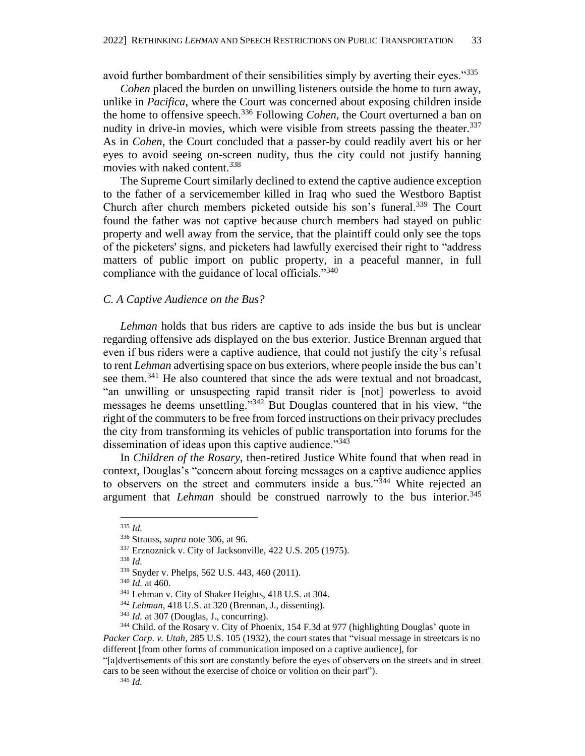avoid further bombardment of their sensibilities simply by averting their eyes."<sup>335</sup>

*Cohen* placed the burden on unwilling listeners outside the home to turn away, unlike in *Pacifica*, where the Court was concerned about exposing children inside the home to offensive speech.<sup>336</sup> Following *Cohen,* the Court overturned a ban on nudity in drive-in movies, which were visible from streets passing the theater.<sup>337</sup> As in *Cohen*, the Court concluded that a passer-by could readily avert his or her eyes to avoid seeing on-screen nudity, thus the city could not justify banning movies with naked content.<sup>338</sup>

The Supreme Court similarly declined to extend the captive audience exception to the father of a servicemember killed in Iraq who sued the Westboro Baptist Church after church members picketed outside his son's funeral.<sup>339</sup> The Court found the father was not captive because church members had stayed on public property and well away from the service, that the plaintiff could only see the tops of the picketers' signs, and picketers had lawfully exercised their right to "address matters of public import on public property, in a peaceful manner, in full compliance with the guidance of local officials."<sup>340</sup>

#### *C. A Captive Audience on the Bus?*

*Lehman* holds that bus riders are captive to ads inside the bus but is unclear regarding offensive ads displayed on the bus exterior. Justice Brennan argued that even if bus riders were a captive audience, that could not justify the city's refusal to rent *Lehman* advertising space on bus exteriors, where people inside the bus can't see them.<sup>341</sup> He also countered that since the ads were textual and not broadcast, "an unwilling or unsuspecting rapid transit rider is [not] powerless to avoid messages he deems unsettling."<sup>342</sup> But Douglas countered that in his view, "the right of the commuters to be free from forced instructions on their privacy precludes the city from transforming its vehicles of public transportation into forums for the dissemination of ideas upon this captive audience."<sup>343</sup>

In *Children of the Rosary*, then-retired Justice White found that when read in context, Douglas's "concern about forcing messages on a captive audience applies to observers on the street and commuters inside a bus."<sup>344</sup> White rejected an argument that *Lehman* should be construed narrowly to the bus interior.<sup>345</sup>

different [from other forms of communication imposed on a captive audience], for

<sup>335</sup> *Id.*

<sup>336</sup> Strauss, *supra* note 306, at 96.

<sup>337</sup> Erznoznick v. City of Jacksonville, 422 U.S. 205 (1975).

<sup>338</sup> *Id.*

<sup>339</sup> Snyder v. Phelps, 562 U.S. 443, 460 (2011).

<sup>340</sup> *Id.* at 460.

<sup>341</sup> Lehman v. City of Shaker Heights, 418 U.S. at 304*.*

<sup>342</sup> *Lehman*, 418 U.S. at 320 (Brennan, J., dissenting).

<sup>&</sup>lt;sup>343</sup> *Id.* at 307 (Douglas, J., concurring).

<sup>344</sup> Child. of the Rosary v. City of Phoenix, 154 F.3d at 977 (highlighting Douglas' quote in *Packer Corp. v. Utah*, 285 U.S. 105 (1932), the court states that "visual message in streetcars is no

<sup>&</sup>quot;[a]dvertisements of this sort are constantly before the eyes of observers on the streets and in street cars to be seen without the exercise of choice or volition on their part").

<sup>345</sup> *Id.*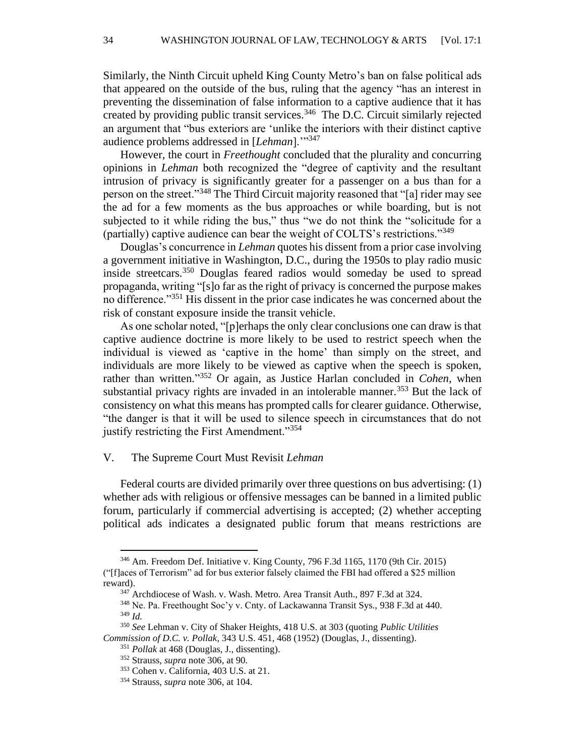Similarly, the Ninth Circuit upheld King County Metro's ban on false political ads that appeared on the outside of the bus, ruling that the agency "has an interest in preventing the dissemination of false information to a captive audience that it has created by providing public transit services. $346$  The D.C. Circuit similarly rejected an argument that "bus exteriors are 'unlike the interiors with their distinct captive audience problems addressed in [*Lehman*].'"<sup>347</sup>

However, the court in *Freethought* concluded that the plurality and concurring opinions in *Lehman* both recognized the "degree of captivity and the resultant intrusion of privacy is significantly greater for a passenger on a bus than for a person on the street."<sup>348</sup> The Third Circuit majority reasoned that "[a] rider may see the ad for a few moments as the bus approaches or while boarding, but is not subjected to it while riding the bus," thus "we do not think the "solicitude for a (partially) captive audience can bear the weight of COLTS's restrictions."<sup>349</sup>

Douglas's concurrence in *Lehman* quotes his dissent from a prior case involving a government initiative in Washington, D.C., during the 1950s to play radio music inside streetcars.<sup>350</sup> Douglas feared radios would someday be used to spread propaganda, writing "[s]o far as the right of privacy is concerned the purpose makes no difference."<sup>351</sup> His dissent in the prior case indicates he was concerned about the risk of constant exposure inside the transit vehicle.

As one scholar noted, "[p]erhaps the only clear conclusions one can draw is that captive audience doctrine is more likely to be used to restrict speech when the individual is viewed as 'captive in the home' than simply on the street, and individuals are more likely to be viewed as captive when the speech is spoken, rather than written." <sup>352</sup> Or again, as Justice Harlan concluded in *Cohen*, when substantial privacy rights are invaded in an intolerable manner.<sup>353</sup> But the lack of consistency on what this means has prompted calls for clearer guidance. Otherwise, "the danger is that it will be used to silence speech in circumstances that do not justify restricting the First Amendment."<sup>354</sup>

## V. The Supreme Court Must Revisit *Lehman*

Federal courts are divided primarily over three questions on bus advertising: (1) whether ads with religious or offensive messages can be banned in a limited public forum, particularly if commercial advertising is accepted; (2) whether accepting political ads indicates a designated public forum that means restrictions are

<sup>346</sup> Am. Freedom Def. Initiative v. King County, 796 F.3d 1165, 1170 (9th Cir. 2015) ("[f]aces of Terrorism" ad for bus exterior falsely claimed the FBI had offered a \$25 million reward).

 $347$  Archdiocese of Wash. v. Wash. Metro. Area Transit Auth., 897 F.3d at 324.

<sup>348</sup> Ne. Pa. Freethought Soc'y v. Cnty. of Lackawanna Transit Sys., 938 F.3d at 440. <sup>349</sup> *Id.*

<sup>350</sup> *See* Lehman v. City of Shaker Heights, 418 U.S. at 303 (quoting *Public Utilities Commission of D.C. v. Pollak*, 343 U.S. 451, 468 (1952) (Douglas, J., dissenting).

<sup>351</sup> *Pollak* at 468 (Douglas, J., dissenting).

<sup>352</sup> Strauss, *supra* note 306, at 90.

<sup>353</sup> Cohen v. California, 403 U.S. at 21.

<sup>354</sup> Strauss, *supra* note 306, at 104.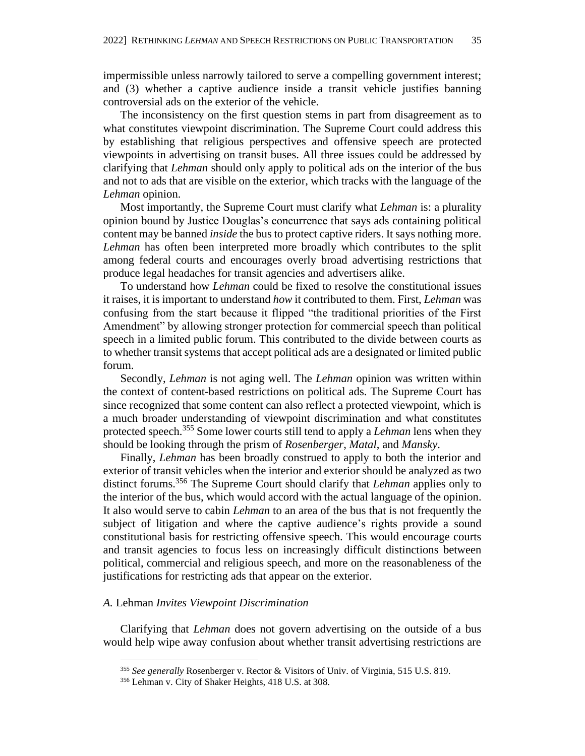impermissible unless narrowly tailored to serve a compelling government interest; and (3) whether a captive audience inside a transit vehicle justifies banning controversial ads on the exterior of the vehicle.

The inconsistency on the first question stems in part from disagreement as to what constitutes viewpoint discrimination. The Supreme Court could address this by establishing that religious perspectives and offensive speech are protected viewpoints in advertising on transit buses. All three issues could be addressed by clarifying that *Lehman* should only apply to political ads on the interior of the bus and not to ads that are visible on the exterior, which tracks with the language of the *Lehman* opinion.

Most importantly, the Supreme Court must clarify what *Lehman* is: a plurality opinion bound by Justice Douglas's concurrence that says ads containing political content may be banned *inside* the bus to protect captive riders. It says nothing more. *Lehman* has often been interpreted more broadly which contributes to the split among federal courts and encourages overly broad advertising restrictions that produce legal headaches for transit agencies and advertisers alike.

To understand how *Lehman* could be fixed to resolve the constitutional issues it raises, it is important to understand *how* it contributed to them. First, *Lehman* was confusing from the start because it flipped "the traditional priorities of the First Amendment" by allowing stronger protection for commercial speech than political speech in a limited public forum. This contributed to the divide between courts as to whether transit systems that accept political ads are a designated or limited public forum.

Secondly, *Lehman* is not aging well. The *Lehman* opinion was written within the context of content-based restrictions on political ads. The Supreme Court has since recognized that some content can also reflect a protected viewpoint, which is a much broader understanding of viewpoint discrimination and what constitutes protected speech.<sup>355</sup> Some lower courts still tend to apply a *Lehman* lens when they should be looking through the prism of *Rosenberger*, *Matal*, and *Mansky*.

Finally, *Lehman* has been broadly construed to apply to both the interior and exterior of transit vehicles when the interior and exterior should be analyzed as two distinct forums.<sup>356</sup> The Supreme Court should clarify that *Lehman* applies only to the interior of the bus, which would accord with the actual language of the opinion. It also would serve to cabin *Lehman* to an area of the bus that is not frequently the subject of litigation and where the captive audience's rights provide a sound constitutional basis for restricting offensive speech. This would encourage courts and transit agencies to focus less on increasingly difficult distinctions between political, commercial and religious speech, and more on the reasonableness of the justifications for restricting ads that appear on the exterior.

# *A.* Lehman *Invites Viewpoint Discrimination*

Clarifying that *Lehman* does not govern advertising on the outside of a bus would help wipe away confusion about whether transit advertising restrictions are

<sup>355</sup> *See generally* Rosenberger v. Rector & Visitors of Univ. of Virginia, 515 U.S. 819.

<sup>356</sup> Lehman v. City of Shaker Heights, 418 U.S. at 308.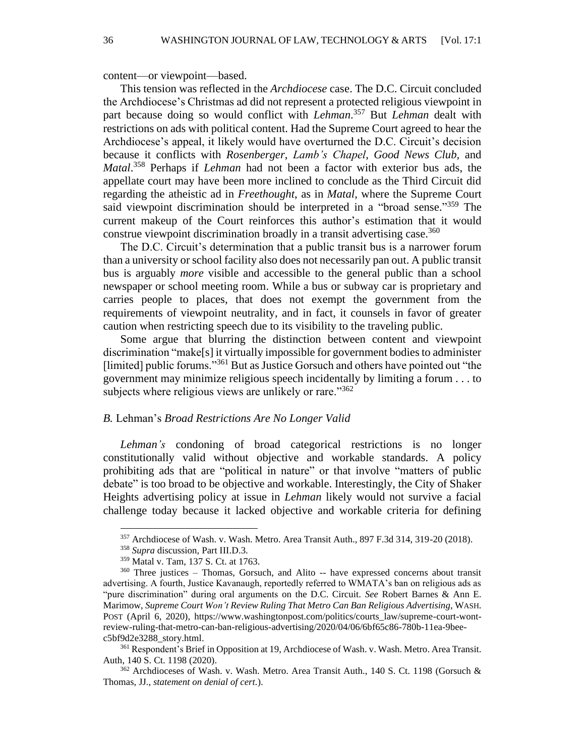content—or viewpoint—based.

This tension was reflected in the *Archdiocese* case. The D.C. Circuit concluded the Archdiocese's Christmas ad did not represent a protected religious viewpoint in part because doing so would conflict with *Lehman*. <sup>357</sup> But *Lehman* dealt with restrictions on ads with political content. Had the Supreme Court agreed to hear the Archdiocese's appeal, it likely would have overturned the D.C. Circuit's decision because it conflicts with *Rosenberger*, *Lamb's Chapel*, *Good News Club,* and *Matal*. <sup>358</sup> Perhaps if *Lehman* had not been a factor with exterior bus ads, the appellate court may have been more inclined to conclude as the Third Circuit did regarding the atheistic ad in *Freethought*, as in *Matal*, where the Supreme Court said viewpoint discrimination should be interpreted in a "broad sense."<sup>359</sup> The current makeup of the Court reinforces this author's estimation that it would construe viewpoint discrimination broadly in a transit advertising case.<sup>360</sup>

The D.C. Circuit's determination that a public transit bus is a narrower forum than a university or school facility also does not necessarily pan out. A public transit bus is arguably *more* visible and accessible to the general public than a school newspaper or school meeting room. While a bus or subway car is proprietary and carries people to places, that does not exempt the government from the requirements of viewpoint neutrality, and in fact, it counsels in favor of greater caution when restricting speech due to its visibility to the traveling public.

Some argue that blurring the distinction between content and viewpoint discrimination "make[s] it virtually impossible for government bodies to administer [limited] public forums."<sup>361</sup> But as Justice Gorsuch and others have pointed out "the government may minimize religious speech incidentally by limiting a forum . . . to subjects where religious views are unlikely or rare."<sup>362</sup>

#### *B.* Lehman's *Broad Restrictions Are No Longer Valid*

*Lehman's* condoning of broad categorical restrictions is no longer constitutionally valid without objective and workable standards. A policy prohibiting ads that are "political in nature" or that involve "matters of public debate" is too broad to be objective and workable. Interestingly, the City of Shaker Heights advertising policy at issue in *Lehman* likely would not survive a facial challenge today because it lacked objective and workable criteria for defining

<sup>357</sup> Archdiocese of Wash. v. Wash. Metro. Area Transit Auth., 897 F.3d 314, 319-20 (2018).

<sup>358</sup> *Supra* discussion, Part III.D.3.

<sup>359</sup> Matal v. Tam, 137 S. Ct. at 1763.

<sup>&</sup>lt;sup>360</sup> Three justices - Thomas, Gorsuch, and Alito -- have expressed concerns about transit advertising. A fourth, Justice Kavanaugh, reportedly referred to WMATA's ban on religious ads as "pure discrimination" during oral arguments on the D.C. Circuit. *See* Robert Barnes & Ann E. Marimow, *Supreme Court Won't Review Ruling That Metro Can Ban Religious Advertising*, WASH. POST (April 6, 2020), https://www.washingtonpost.com/politics/courts\_law/supreme-court-wontreview-ruling-that-metro-can-ban-religious-advertising/2020/04/06/6bf65c86-780b-11ea-9beec5bf9d2e3288\_story.html.

<sup>361</sup> Respondent's Brief in Opposition at 19, Archdiocese of Wash. v. Wash. Metro. Area Transit. Auth, 140 S. Ct. 1198 (2020).

 $362$  Archdioceses of Wash. v. Wash. Metro. Area Transit Auth., 140 S. Ct. 1198 (Gorsuch & Thomas, JJ., *statement on denial of cert.*).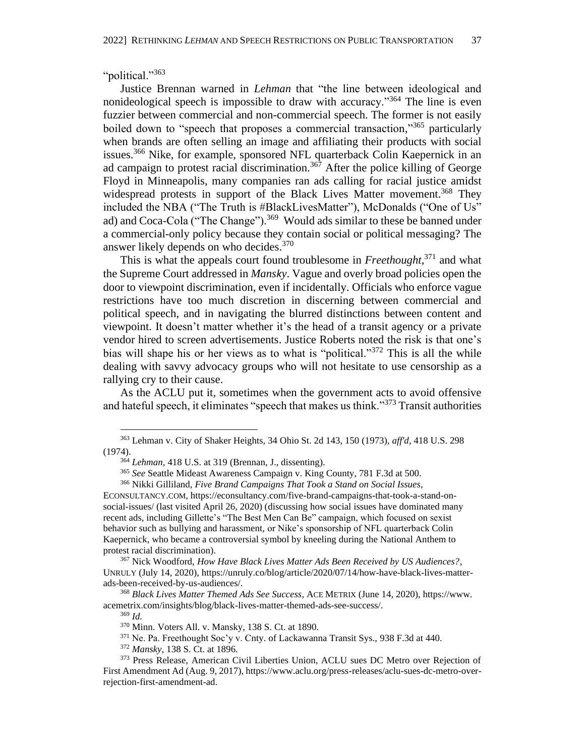"political."<sup>363</sup>

Justice Brennan warned in *Lehman* that "the line between ideological and nonideological speech is impossible to draw with accuracy."<sup>364</sup> The line is even fuzzier between commercial and non-commercial speech. The former is not easily boiled down to "speech that proposes a commercial transaction,"<sup>365</sup> particularly when brands are often selling an image and affiliating their products with social issues.<sup>366</sup> Nike, for example, sponsored NFL quarterback Colin Kaepernick in an ad campaign to protest racial discrimination.<sup>367</sup> After the police killing of George Floyd in Minneapolis, many companies ran ads calling for racial justice amidst widespread protests in support of the Black Lives Matter movement.<sup>368</sup> They included the NBA ("The Truth is #BlackLivesMatter"), McDonalds ("One of Us" ad) and Coca-Cola ("The Change").<sup>369</sup> Would ads similar to these be banned under a commercial-only policy because they contain social or political messaging? The answer likely depends on who decides.<sup>370</sup>

This is what the appeals court found troublesome in *Freethought*, <sup>371</sup> and what the Supreme Court addressed in *Mansky*. Vague and overly broad policies open the door to viewpoint discrimination, even if incidentally. Officials who enforce vague restrictions have too much discretion in discerning between commercial and political speech, and in navigating the blurred distinctions between content and viewpoint. It doesn't matter whether it's the head of a transit agency or a private vendor hired to screen advertisements. Justice Roberts noted the risk is that one's bias will shape his or her views as to what is "political."<sup>372</sup> This is all the while dealing with savvy advocacy groups who will not hesitate to use censorship as a rallying cry to their cause.

As the ACLU put it, sometimes when the government acts to avoid offensive and hateful speech, it eliminates "speech that makes us think."<sup>373</sup> Transit authorities

<sup>367</sup> Nick Woodford, *How Have Black Lives Matter Ads Been Received by US Audiences?*, UNRULY (July 14, 2020), https://unruly.co/blog/article/2020/07/14/how-have-black-lives-matterads-been-received-by-us-audiences/.

<sup>368</sup> *Black Lives Matter Themed Ads See Success*, ACE METRIX (June 14, 2020), https://www. acemetrix.com/insights/blog/black-lives-matter-themed-ads-see-success/.

<sup>369</sup> *Id.*

<sup>363</sup> Lehman v. City of Shaker Heights, 34 Ohio St. 2d 143, 150 (1973), *aff'd*, 418 U.S. 298 (1974).

<sup>364</sup> *Lehman,* 418 U.S. at 319 (Brennan, J., dissenting).

<sup>365</sup> *See* Seattle Mideast Awareness Campaign v. King County, 781 F.3d at 500.

<sup>366</sup> Nikki Gilliland, *Five Brand Campaigns That Took a Stand on Social Issues*,

ECONSULTANCY.COM, https://econsultancy.com/five-brand-campaigns-that-took-a-stand-onsocial-issues/ (last visited April 26, 2020) (discussing how social issues have dominated many recent ads, including Gillette's "The Best Men Can Be" campaign, which focused on sexist behavior such as bullying and harassment, or Nike's sponsorship of NFL quarterback Colin Kaepernick, who became a controversial symbol by kneeling during the National Anthem to protest racial discrimination).

<sup>370</sup> Minn. Voters All. v. Mansky, 138 S. Ct. at 1890.

<sup>371</sup> Ne. Pa. Freethought Soc'y v. Cnty. of Lackawanna Transit Sys., 938 F.3d at 440.

<sup>372</sup> *Mansky*, 138 S. Ct. at 1896.

<sup>&</sup>lt;sup>373</sup> Press Release, American Civil Liberties Union, ACLU sues DC Metro over Rejection of First Amendment Ad (Aug. 9, 2017), https://www.aclu.org/press-releases/aclu-sues-dc-metro-overrejection-first-amendment-ad.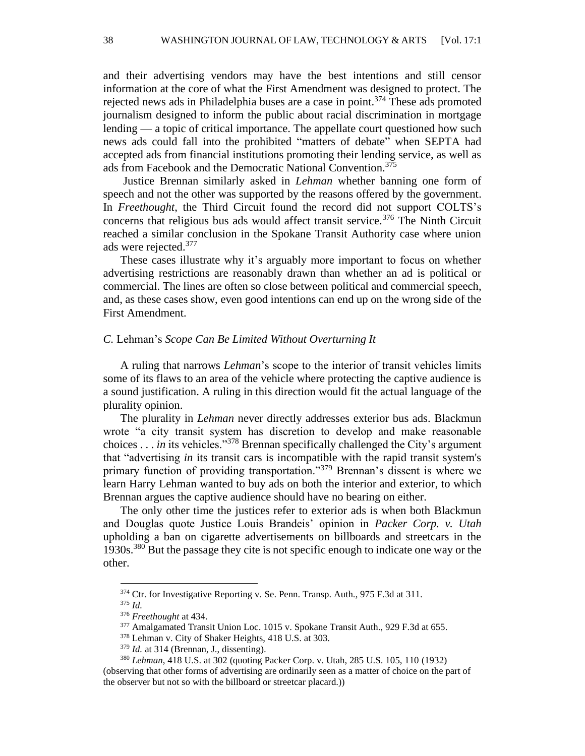and their advertising vendors may have the best intentions and still censor information at the core of what the First Amendment was designed to protect. The rejected news ads in Philadelphia buses are a case in point.<sup>374</sup> These ads promoted journalism designed to inform the public about racial discrimination in mortgage lending — a topic of critical importance. The appellate court questioned how such news ads could fall into the prohibited "matters of debate" when SEPTA had accepted ads from financial institutions promoting their lending service, as well as ads from Facebook and the Democratic National Convention.<sup>375</sup>

Justice Brennan similarly asked in *Lehman* whether banning one form of speech and not the other was supported by the reasons offered by the government. In *Freethought*, the Third Circuit found the record did not support COLTS's concerns that religious bus ads would affect transit service.<sup>376</sup> The Ninth Circuit reached a similar conclusion in the Spokane Transit Authority case where union ads were rejected.<sup>377</sup>

These cases illustrate why it's arguably more important to focus on whether advertising restrictions are reasonably drawn than whether an ad is political or commercial. The lines are often so close between political and commercial speech, and, as these cases show, even good intentions can end up on the wrong side of the First Amendment.

#### *C.* Lehman's *Scope Can Be Limited Without Overturning It*

A ruling that narrows *Lehman*'s scope to the interior of transit vehicles limits some of its flaws to an area of the vehicle where protecting the captive audience is a sound justification. A ruling in this direction would fit the actual language of the plurality opinion.

The plurality in *Lehman* never directly addresses exterior bus ads. Blackmun wrote "a city transit system has discretion to develop and make reasonable choices . . . *in* its vehicles."<sup>378</sup> Brennan specifically challenged the City's argument that "advertising *in* its transit cars is incompatible with the rapid transit system's primary function of providing transportation."<sup>379</sup> Brennan's dissent is where we learn Harry Lehman wanted to buy ads on both the interior and exterior, to which Brennan argues the captive audience should have no bearing on either.

The only other time the justices refer to exterior ads is when both Blackmun and Douglas quote Justice Louis Brandeis' opinion in *Packer Corp. v. Utah* upholding a ban on cigarette advertisements on billboards and streetcars in the 1930s.<sup>380</sup> But the passage they cite is not specific enough to indicate one way or the other.

<sup>&</sup>lt;sup>374</sup> Ctr. for Investigative Reporting v. Se. Penn. Transp. Auth., 975 F.3d at 311. <sup>375</sup> *Id.*

<sup>376</sup> *Freethought* at 434.

<sup>377</sup> Amalgamated Transit Union Loc. 1015 v. Spokane Transit Auth., 929 F.3d at 655.

<sup>378</sup> Lehman v. City of Shaker Heights, 418 U.S. at 303.

<sup>&</sup>lt;sup>379</sup> *Id.* at 314 (Brennan, J., dissenting).

<sup>380</sup> *Lehman*, 418 U.S. at 302 (quoting Packer Corp. v. Utah, 285 U.S. 105, 110 (1932) (observing that other forms of advertising are ordinarily seen as a matter of choice on the part of the observer but not so with the billboard or streetcar placard.))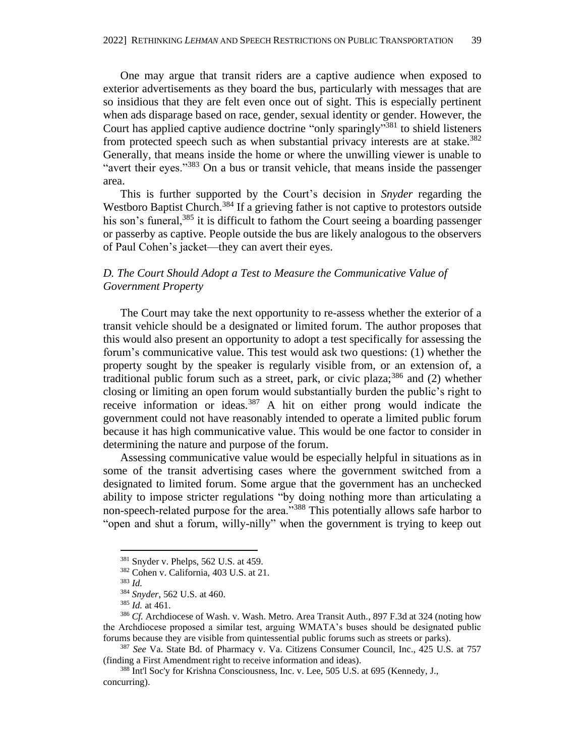One may argue that transit riders are a captive audience when exposed to exterior advertisements as they board the bus, particularly with messages that are so insidious that they are felt even once out of sight. This is especially pertinent when ads disparage based on race, gender, sexual identity or gender. However, the Court has applied captive audience doctrine "only sparingly"<sup>381</sup> to shield listeners from protected speech such as when substantial privacy interests are at stake.<sup>382</sup> Generally, that means inside the home or where the unwilling viewer is unable to "avert their eyes."<sup>383</sup> On a bus or transit vehicle, that means inside the passenger area.

This is further supported by the Court's decision in *Snyder* regarding the Westboro Baptist Church.<sup>384</sup> If a grieving father is not captive to protestors outside his son's funeral,  $385$  it is difficult to fathom the Court seeing a boarding passenger or passerby as captive. People outside the bus are likely analogous to the observers of Paul Cohen's jacket—they can avert their eyes.

# *D. The Court Should Adopt a Test to Measure the Communicative Value of Government Property*

The Court may take the next opportunity to re-assess whether the exterior of a transit vehicle should be a designated or limited forum. The author proposes that this would also present an opportunity to adopt a test specifically for assessing the forum's communicative value. This test would ask two questions: (1) whether the property sought by the speaker is regularly visible from, or an extension of, a traditional public forum such as a street, park, or civic plaza; $386$  and (2) whether closing or limiting an open forum would substantially burden the public's right to receive information or ideas.<sup>387</sup> A hit on either prong would indicate the government could not have reasonably intended to operate a limited public forum because it has high communicative value. This would be one factor to consider in determining the nature and purpose of the forum.

Assessing communicative value would be especially helpful in situations as in some of the transit advertising cases where the government switched from a designated to limited forum. Some argue that the government has an unchecked ability to impose stricter regulations "by doing nothing more than articulating a non-speech-related purpose for the area."<sup>388</sup> This potentially allows safe harbor to "open and shut a forum, willy-nilly" when the government is trying to keep out

<sup>381</sup> Snyder v. Phelps, 562 U.S. at 459.

<sup>382</sup> Cohen v. California, 403 U.S. at 21*.*

<sup>383</sup> *Id.*

<sup>384</sup> *Snyder*, 562 U.S. at 460.

<sup>385</sup> *Id.* at 461.

<sup>386</sup> *Cf.* Archdiocese of Wash. v. Wash. Metro. Area Transit Auth., 897 F.3d at 324 (noting how the Archdiocese proposed a similar test, arguing WMATA's buses should be designated public forums because they are visible from quintessential public forums such as streets or parks).

<sup>387</sup> *See* Va. State Bd. of Pharmacy v. Va. Citizens Consumer Council, Inc., 425 U.S. at 757 (finding a First Amendment right to receive information and ideas).

<sup>388</sup> Int'l Soc'y for Krishna Consciousness, Inc. v. Lee, 505 U.S. at 695 (Kennedy, J., concurring).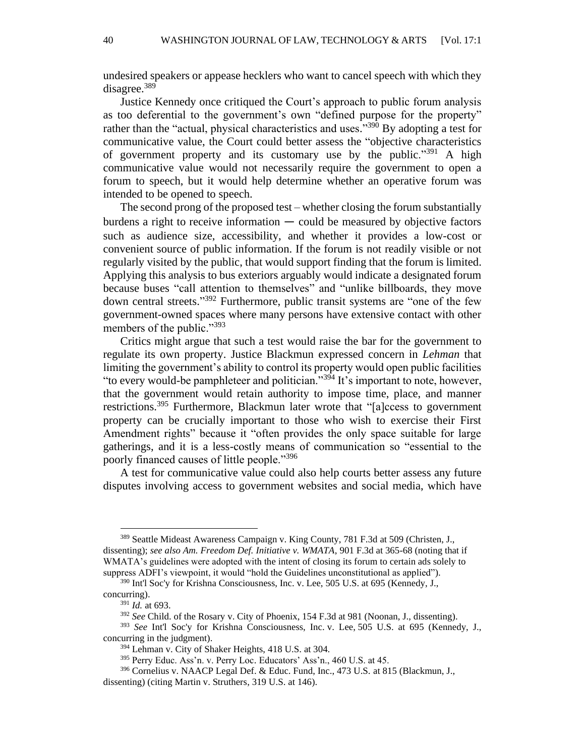undesired speakers or appease hecklers who want to cancel speech with which they disagree.<sup>389</sup>

Justice Kennedy once critiqued the Court's approach to public forum analysis as too deferential to the government's own "defined purpose for the property" rather than the "actual, physical characteristics and uses."<sup>390</sup> By adopting a test for communicative value, the Court could better assess the "objective characteristics of government property and its customary use by the public."<sup>391</sup> A high communicative value would not necessarily require the government to open a forum to speech, but it would help determine whether an operative forum was intended to be opened to speech.

The second prong of the proposed test – whether closing the forum substantially burdens a right to receive information  $-$  could be measured by objective factors such as audience size, accessibility, and whether it provides a low-cost or convenient source of public information. If the forum is not readily visible or not regularly visited by the public, that would support finding that the forum is limited. Applying this analysis to bus exteriors arguably would indicate a designated forum because buses "call attention to themselves" and "unlike billboards, they move down central streets." <sup>392</sup> Furthermore, public transit systems are "one of the few government-owned spaces where many persons have extensive contact with other members of the public."<sup>393</sup>

Critics might argue that such a test would raise the bar for the government to regulate its own property. Justice Blackmun expressed concern in *Lehman* that limiting the government's ability to control its property would open public facilities "to every would-be pamphleteer and politician."<sup>394</sup> It's important to note, however, that the government would retain authority to impose time, place, and manner restrictions.<sup>395</sup> Furthermore, Blackmun later wrote that "[a]ccess to government property can be crucially important to those who wish to exercise their First Amendment rights" because it "often provides the only space suitable for large gatherings, and it is a less-costly means of communication so "essential to the poorly financed causes of little people."<sup>396</sup>

A test for communicative value could also help courts better assess any future disputes involving access to government websites and social media, which have

<sup>389</sup> Seattle Mideast Awareness Campaign v. King County, 781 F.3d at 509 (Christen, J., dissenting); *see also Am. Freedom Def. Initiative v. WMATA*, 901 F.3d at 365-68 (noting that if WMATA's guidelines were adopted with the intent of closing its forum to certain ads solely to suppress ADFI's viewpoint, it would "hold the Guidelines unconstitutional as applied").

<sup>390</sup> Int'l Soc'y for Krishna Consciousness, Inc. v. Lee, 505 U.S. at 695 (Kennedy, J., concurring).

<sup>391</sup> *Id.* at 693.

<sup>392</sup> *See* Child. of the Rosary v. City of Phoenix, 154 F.3d at 981 (Noonan, J., dissenting).

<sup>393</sup> *See* Int'l Soc'y for Krishna Consciousness, Inc. v. Lee, 505 U.S. at 695 (Kennedy, J., concurring in the judgment).

<sup>394</sup> Lehman v. City of Shaker Heights, 418 U.S. at 304.

<sup>395</sup> Perry Educ. Ass'n. v. Perry Loc. Educators' Ass'n., 460 U.S. at 45.

<sup>396</sup> Cornelius v. NAACP Legal Def. & Educ. Fund, Inc., 473 U.S. at 815 (Blackmun, J.,

dissenting) (citing Martin v. Struthers, 319 U.S. at 146).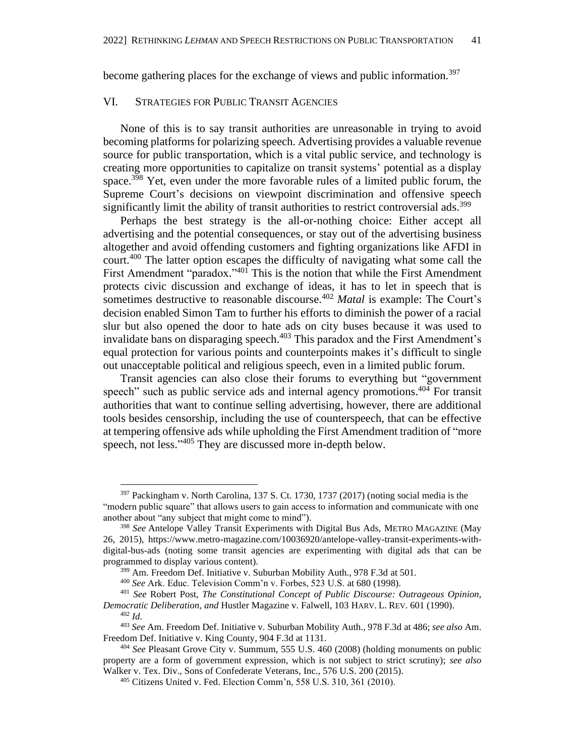become gathering places for the exchange of views and public information.<sup>397</sup>

#### VI. STRATEGIES FOR PUBLIC TRANSIT AGENCIES

None of this is to say transit authorities are unreasonable in trying to avoid becoming platforms for polarizing speech. Advertising provides a valuable revenue source for public transportation, which is a vital public service, and technology is creating more opportunities to capitalize on transit systems' potential as a display space.<sup>398</sup> Yet, even under the more favorable rules of a limited public forum, the Supreme Court's decisions on viewpoint discrimination and offensive speech significantly limit the ability of transit authorities to restrict controversial ads.<sup>399</sup>

Perhaps the best strategy is the all-or-nothing choice: Either accept all advertising and the potential consequences, or stay out of the advertising business altogether and avoid offending customers and fighting organizations like AFDI in court.<sup>400</sup> The latter option escapes the difficulty of navigating what some call the First Amendment "paradox."<sup>401</sup> This is the notion that while the First Amendment protects civic discussion and exchange of ideas, it has to let in speech that is sometimes destructive to reasonable discourse.<sup>402</sup> *Matal* is example: The Court's decision enabled Simon Tam to further his efforts to diminish the power of a racial slur but also opened the door to hate ads on city buses because it was used to invalidate bans on disparaging speech. <sup>403</sup> This paradox and the First Amendment's equal protection for various points and counterpoints makes it's difficult to single out unacceptable political and religious speech, even in a limited public forum.

Transit agencies can also close their forums to everything but "government speech" such as public service ads and internal agency promotions.<sup>404</sup> For transit authorities that want to continue selling advertising, however, there are additional tools besides censorship, including the use of counterspeech, that can be effective at tempering offensive ads while upholding the First Amendment tradition of "more speech, not less." <sup>405</sup> They are discussed more in-depth below.

<sup>397</sup> Packingham v. North Carolina, 137 S. Ct. 1730, 1737 (2017) (noting social media is the "modern public square" that allows users to gain access to information and communicate with one another about "any subject that might come to mind").

<sup>398</sup> *See* Antelope Valley Transit Experiments with Digital Bus Ads, METRO MAGAZINE (May 26, 2015), https://www.metro-magazine.com/10036920/antelope-valley-transit-experiments-withdigital-bus-ads (noting some transit agencies are experimenting with digital ads that can be programmed to display various content).

<sup>399</sup> Am. Freedom Def. Initiative v. Suburban Mobility Auth., 978 F.3d at 501.

<sup>400</sup> *See* Ark. Educ. Television Comm'n v. Forbes, 523 U.S. at 680 (1998).

<sup>401</sup> *See* Robert Post, *The Constitutional Concept of Public Discourse: Outrageous Opinion, Democratic Deliberation, and* Hustler Magazine v. Falwell, 103 HARV. L. REV. 601 (1990).

<sup>402</sup> *Id.*

<sup>403</sup> *See* Am. Freedom Def. Initiative v. Suburban Mobility Auth., 978 F.3d at 486; *see also* Am. Freedom Def. Initiative v. King County, 904 F.3d at 1131.

<sup>404</sup> *See* Pleasant Grove City v. Summum, 555 U.S. 460 (2008) (holding monuments on public property are a form of government expression, which is not subject to strict scrutiny); *see also* Walker v. Tex. Div., Sons of Confederate Veterans, Inc., 576 U.S. 200 (2015).

<sup>405</sup> Citizens United v. Fed. Election Comm'n, 558 U.S. 310, 361 (2010).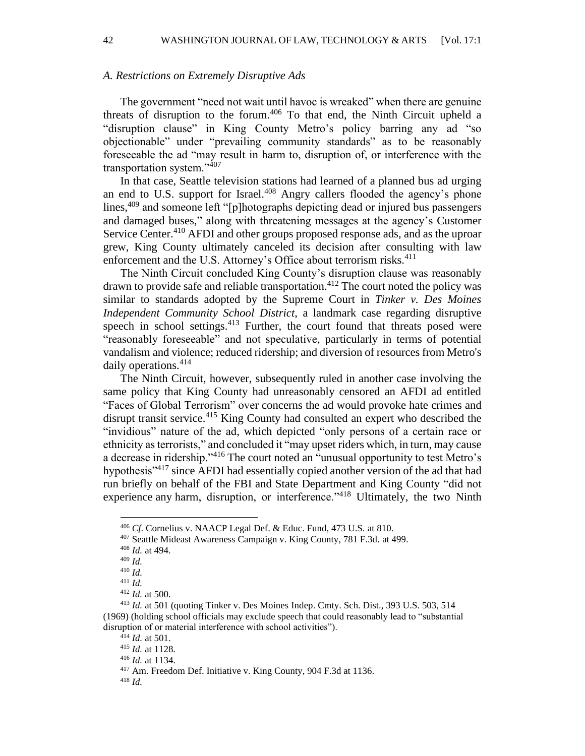#### *A. Restrictions on Extremely Disruptive Ads*

The government "need not wait until havoc is wreaked" when there are genuine threats of disruption to the forum.<sup>406</sup> To that end, the Ninth Circuit upheld a "disruption clause" in King County Metro's policy barring any ad "so objectionable" under "prevailing community standards" as to be reasonably foreseeable the ad "may result in harm to, disruption of, or interference with the transportation system."<sup>407</sup>

In that case, Seattle television stations had learned of a planned bus ad urging an end to U.S. support for Israel.<sup>408</sup> Angry callers flooded the agency's phone lines,<sup>409</sup> and someone left "[p]hotographs depicting dead or injured bus passengers and damaged buses," along with threatening messages at the agency's Customer Service Center.<sup>410</sup> AFDI and other groups proposed response ads, and as the uproar grew, King County ultimately canceled its decision after consulting with law enforcement and the U.S. Attorney's Office about terrorism risks.<sup>411</sup>

The Ninth Circuit concluded King County's disruption clause was reasonably drawn to provide safe and reliable transportation.<sup>412</sup> The court noted the policy was similar to standards adopted by the Supreme Court in *Tinker v. Des Moines Independent Community School District*, a landmark case regarding disruptive speech in school settings.<sup>413</sup> Further, the court found that threats posed were "reasonably foreseeable" and not speculative, particularly in terms of potential vandalism and violence; reduced ridership; and diversion of resources from Metro's daily operations.<sup>414</sup>

The Ninth Circuit, however, subsequently ruled in another case involving the same policy that King County had unreasonably censored an AFDI ad entitled "Faces of Global Terrorism" over concerns the ad would provoke hate crimes and disrupt transit service. <sup>415</sup> King County had consulted an expert who described the "invidious" nature of the ad, which depicted "only persons of a certain race or ethnicity as terrorists," and concluded it "may upset riders which, in turn, may cause a decrease in ridership.<sup>3416</sup> The court noted an "unusual opportunity to test Metro's hypothesis<sup>"417</sup> since AFDI had essentially copied another version of the ad that had run briefly on behalf of the FBI and State Department and King County "did not experience any harm, disruption, or interference."<sup>418</sup> Ultimately, the two Ninth

<sup>406</sup> *Cf*. Cornelius v. NAACP Legal Def. & Educ. Fund, 473 U.S. at 810.

<sup>407</sup> Seattle Mideast Awareness Campaign v. King County, 781 F.3d. at 499.

<sup>408</sup> *Id.* at 494.

<sup>409</sup> *Id.*

<sup>410</sup> *Id.*

<sup>411</sup> *Id.*

<sup>412</sup> *Id.* at 500.

<sup>413</sup> *Id.* at 501 (quoting Tinker v. Des Moines Indep. Cmty. Sch. Dist., 393 U.S. 503, 514 (1969) (holding school officials may exclude speech that could reasonably lead to "substantial disruption of or material interference with school activities").

<sup>414</sup> *Id.* at 501.

<sup>415</sup> *Id.* at 1128.

<sup>416</sup> *Id.* at 1134.

<sup>417</sup> Am. Freedom Def. Initiative v. King County, 904 F.3d at 1136.

<sup>418</sup> *Id.*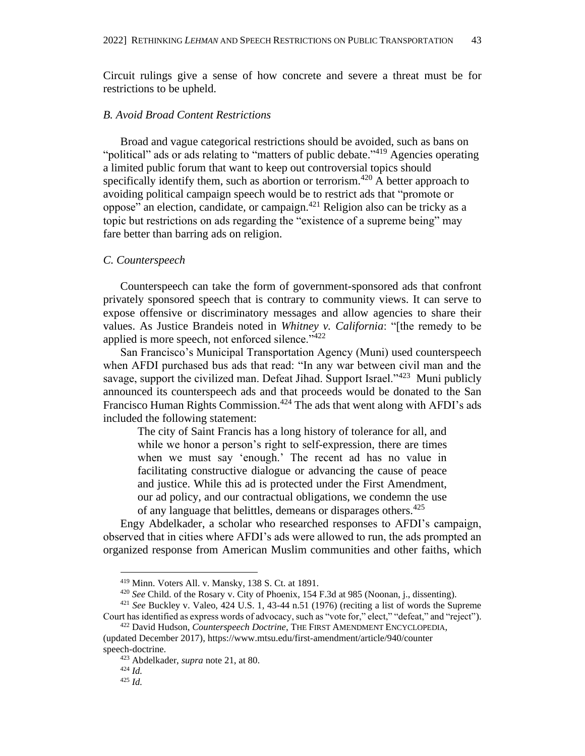Circuit rulings give a sense of how concrete and severe a threat must be for restrictions to be upheld.

# *B. Avoid Broad Content Restrictions*

Broad and vague categorical restrictions should be avoided, such as bans on "political" ads or ads relating to "matters of public debate."<sup>419</sup> Agencies operating a limited public forum that want to keep out controversial topics should specifically identify them, such as abortion or terrorism.<sup> $420$ </sup> A better approach to avoiding political campaign speech would be to restrict ads that "promote or oppose" an election, candidate, or campaign. <sup>421</sup> Religion also can be tricky as a topic but restrictions on ads regarding the "existence of a supreme being" may fare better than barring ads on religion.

#### *C. Counterspeech*

Counterspeech can take the form of government-sponsored ads that confront privately sponsored speech that is contrary to community views. It can serve to expose offensive or discriminatory messages and allow agencies to share their values. As Justice Brandeis noted in *Whitney v. California*: "[the remedy to be applied is more speech, not enforced silence."<sup>422</sup>

San Francisco's Municipal Transportation Agency (Muni) used counterspeech when AFDI purchased bus ads that read: "In any war between civil man and the savage, support the civilized man. Defeat Jihad. Support Israel."<sup>423</sup> Muni publicly announced its counterspeech ads and that proceeds would be donated to the San Francisco Human Rights Commission.<sup>424</sup> The ads that went along with AFDI's ads included the following statement:

The city of Saint Francis has a long history of tolerance for all, and while we honor a person's right to self-expression, there are times when we must say 'enough.' The recent ad has no value in facilitating constructive dialogue or advancing the cause of peace and justice. While this ad is protected under the First Amendment, our ad policy, and our contractual obligations, we condemn the use of any language that belittles, demeans or disparages others.<sup>425</sup>

Engy Abdelkader, a scholar who researched responses to AFDI's campaign, observed that in cities where AFDI's ads were allowed to run, the ads prompted an organized response from American Muslim communities and other faiths, which

<sup>419</sup> Minn. Voters All. v. Mansky, 138 S. Ct. at 1891.

<sup>420</sup> *See* Child. of the Rosary v. City of Phoenix, 154 F.3d at 985 (Noonan, j., dissenting).

<sup>421</sup> *See* Buckley v. Valeo, 424 U.S. 1, 43-44 n.51 (1976) (reciting a list of words the Supreme Court has identified as express words of advocacy, such as "vote for," elect," "defeat," and "reject").

<sup>422</sup> David Hudson, *Counterspeech Doctrine*, THE FIRST AMENDMENT ENCYCLOPEDIA, (updated December 2017), https://www.mtsu.edu/first-amendment/article/940/counter speech-doctrine.

<sup>423</sup> Abdelkader, *supra* note 21, at 80.

<sup>424</sup> *Id.*

<sup>425</sup> *Id.*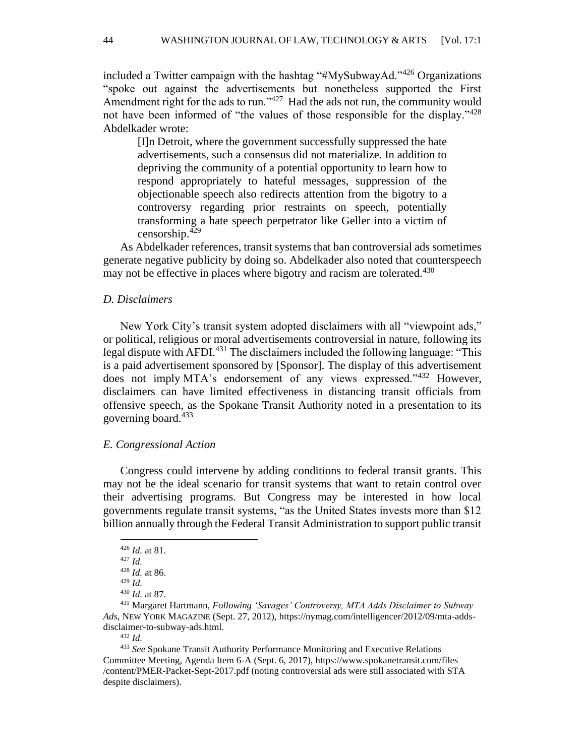included a Twitter campaign with the hashtag "#MySubwayAd."<sup>426</sup> Organizations "spoke out against the advertisements but nonetheless supported the First Amendment right for the ads to run." $427$  Had the ads not run, the community would not have been informed of "the values of those responsible for the display."<sup>428</sup> Abdelkader wrote:

[I]n Detroit, where the government successfully suppressed the hate advertisements, such a consensus did not materialize. In addition to depriving the community of a potential opportunity to learn how to respond appropriately to hateful messages, suppression of the objectionable speech also redirects attention from the bigotry to a controversy regarding prior restraints on speech, potentially transforming a hate speech perpetrator like Geller into a victim of censorship.<sup>429</sup>

As Abdelkader references, transit systems that ban controversial ads sometimes generate negative publicity by doing so. Abdelkader also noted that counterspeech may not be effective in places where bigotry and racism are tolerated.<sup>430</sup>

# *D. Disclaimers*

New York City's transit system adopted disclaimers with all "viewpoint ads," or political, religious or moral advertisements controversial in nature, following its legal dispute with AFDI.<sup>431</sup> The disclaimers included the following language: "This is a paid advertisement sponsored by [Sponsor]. The display of this advertisement does not imply MTA's endorsement of any views expressed."<sup>432</sup> However, disclaimers can have limited effectiveness in distancing transit officials from offensive speech, as the Spokane Transit Authority noted in a presentation to its governing board.<sup>433</sup>

#### *E. Congressional Action*

Congress could intervene by adding conditions to federal transit grants. This may not be the ideal scenario for transit systems that want to retain control over their advertising programs. But Congress may be interested in how local governments regulate transit systems, "as the United States invests more than \$12 billion annually through the Federal Transit Administration to support public transit

<sup>426</sup> *Id.* at 81.

<sup>427</sup> *Id.*

<sup>428</sup> *Id.* at 86.

<sup>429</sup> *Id.*

<sup>430</sup> *Id.* at 87.

<sup>431</sup> Margaret Hartmann, *Following 'Savages' Controversy, MTA Adds Disclaimer to Subway Ads*, NEW YORK MAGAZINE (Sept. 27, 2012), https://nymag.com/intelligencer/2012/09/mta-addsdisclaimer-to-subway-ads.html.

<sup>432</sup> *Id.*

<sup>433</sup> *See* Spokane Transit Authority Performance Monitoring and Executive Relations Committee Meeting, Agenda Item 6-A (Sept. 6, 2017), https://www.spokanetransit.com/files /content/PMER-Packet-Sept-2017.pdf (noting controversial ads were still associated with STA despite disclaimers).